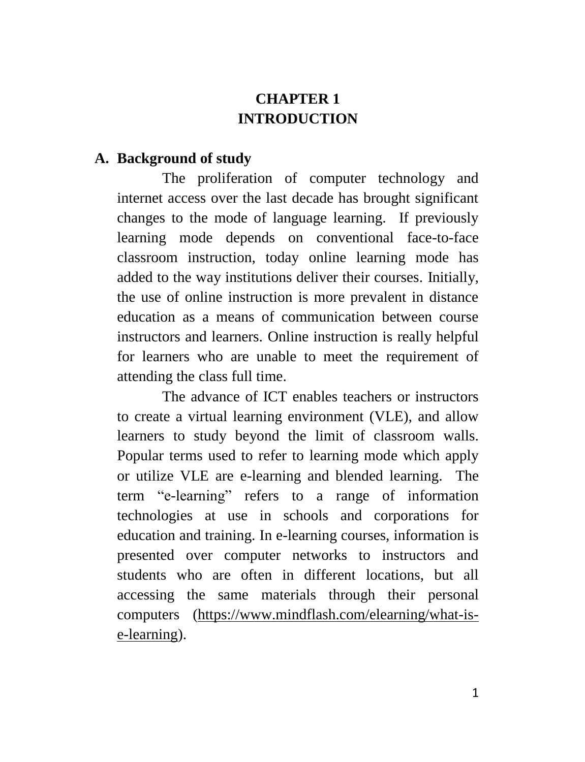# **CHAPTER 1 INTRODUCTION**

#### **A. Background of study**

The proliferation of computer technology and internet access over the last decade has brought significant changes to the mode of language learning. If previously learning mode depends on conventional face-to-face classroom instruction, today online learning mode has added to the way institutions deliver their courses. Initially, the use of online instruction is more prevalent in distance education as a means of communication between course instructors and learners. Online instruction is really helpful for learners who are unable to meet the requirement of attending the class full time.

The advance of ICT enables teachers or instructors to create a virtual learning environment (VLE), and allow learners to study beyond the limit of classroom walls. Popular terms used to refer to learning mode which apply or utilize VLE are e-learning and blended learning. The term ["e-learning"](http://www.mindflash.com/elearning) refers to a range of information technologies at use in schools and corporations for education and training. In e-learning courses, information is presented over computer networks to instructors and students who are often in different locations, but all accessing the same materials through their personal computers [\(https://www.mindflash.com/elearning/what-is](https://www.mindflash.com/elearning/what-is-e-learning)[e-learning\)](https://www.mindflash.com/elearning/what-is-e-learning).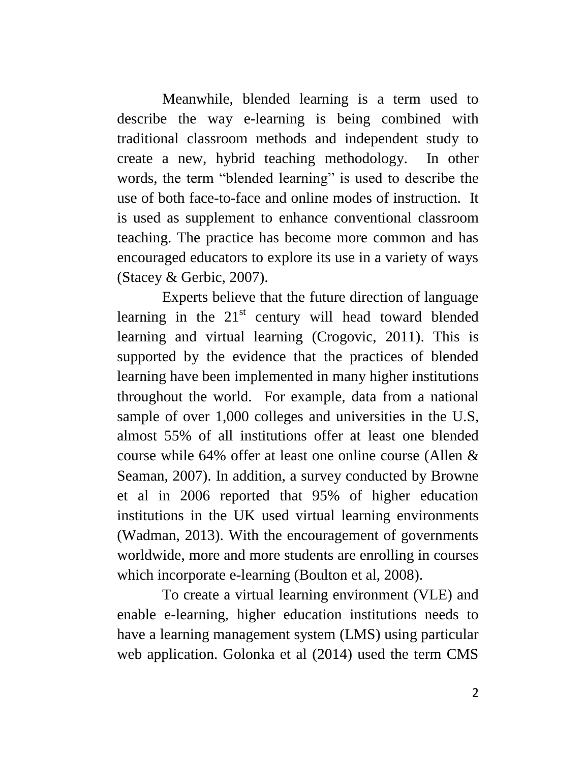Meanwhile, blended learning is a term used to describe the way [e-learning](https://www.mindflash.com/elearning/what-is-e-learning) is being combined with traditional classroom methods and independent study to create a new, hybrid teaching methodology. In other words, the term "blended learning" is used to describe the use of both face-to-face and online modes of instruction. It is used as supplement to enhance conventional classroom teaching. The practice has become more common and has encouraged educators to explore its use in a variety of ways (Stacey & Gerbic, 2007).

Experts believe that the future direction of language learning in the  $21<sup>st</sup>$  century will head toward blended learning and virtual learning (Crogovic, 2011). This is supported by the evidence that the practices of blended learning have been implemented in many higher institutions throughout the world. For example, data from a national sample of over 1,000 colleges and universities in the U.S, almost 55% of all institutions offer at least one blended course while 64% offer at least one online course (Allen & Seaman, 2007). In addition, a survey conducted by Browne et al in 2006 reported that 95% of higher education institutions in the UK used virtual learning environments (Wadman, 2013). With the encouragement of governments worldwide, more and more students are enrolling in courses which incorporate e-learning (Boulton et al, 2008).

To create a virtual learning environment (VLE) and enable e-learning, higher education institutions needs to have a learning management system (LMS) using particular web application. Golonka et al (2014) used the term CMS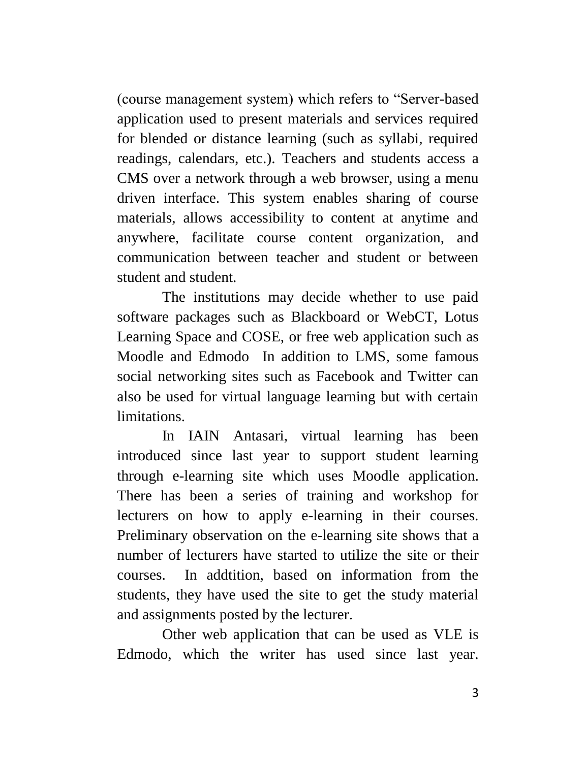(course management system) which refers to "Server-based application used to present materials and services required for blended or distance learning (such as syllabi, required readings, calendars, etc.). Teachers and students access a CMS over a network through a web browser, using a menu driven interface. This system enables sharing of course materials, allows accessibility to content at anytime and anywhere, facilitate course content organization, and communication between teacher and student or between student and student.

The institutions may decide whether to use paid software packages such as Blackboard or WebCT, Lotus Learning Space and COSE, or free web application such as Moodle and Edmodo In addition to LMS, some famous social networking sites such as Facebook and Twitter can also be used for virtual language learning but with certain limitations.

In IAIN Antasari, virtual learning has been introduced since last year to support student learning through e-learning site which uses Moodle application. There has been a series of training and workshop for lecturers on how to apply e-learning in their courses. Preliminary observation on the e-learning site shows that a number of lecturers have started to utilize the site or their courses. In addtition, based on information from the students, they have used the site to get the study material and assignments posted by the lecturer.

Other web application that can be used as VLE is Edmodo, which the writer has used since last year.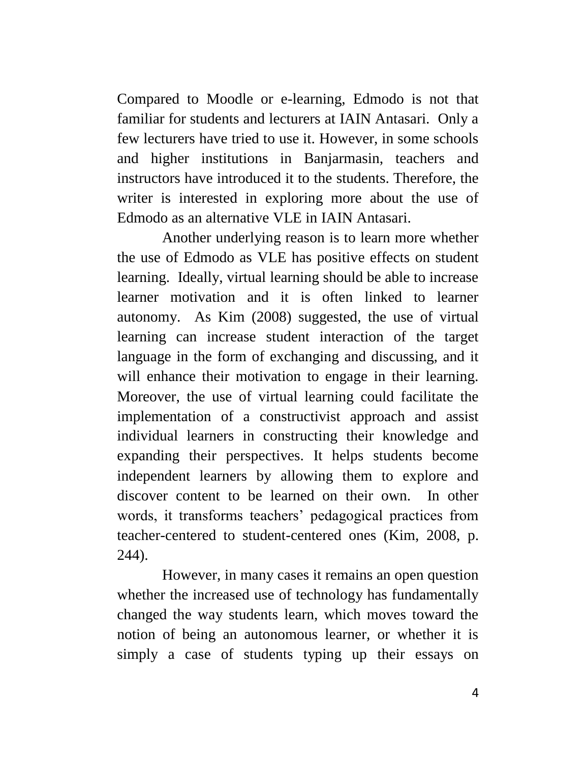Compared to Moodle or e-learning, Edmodo is not that familiar for students and lecturers at IAIN Antasari. Only a few lecturers have tried to use it. However, in some schools and higher institutions in Banjarmasin, teachers and instructors have introduced it to the students. Therefore, the writer is interested in exploring more about the use of Edmodo as an alternative VLE in IAIN Antasari.

Another underlying reason is to learn more whether the use of Edmodo as VLE has positive effects on student learning. Ideally, virtual learning should be able to increase learner motivation and it is often linked to learner autonomy. As Kim (2008) suggested, the use of virtual learning can increase student interaction of the target language in the form of exchanging and discussing, and it will enhance their motivation to engage in their learning. Moreover, the use of virtual learning could facilitate the implementation of a constructivist approach and assist individual learners in constructing their knowledge and expanding their perspectives. It helps students become independent learners by allowing them to explore and discover content to be learned on their own. In other words, it transforms teachers" pedagogical practices from teacher-centered to student-centered ones (Kim, 2008, p. 244).

However, in many cases it remains an open question whether the increased use of technology has fundamentally changed the way students learn, which moves toward the notion of being an autonomous learner, or whether it is simply a case of students typing up their essays on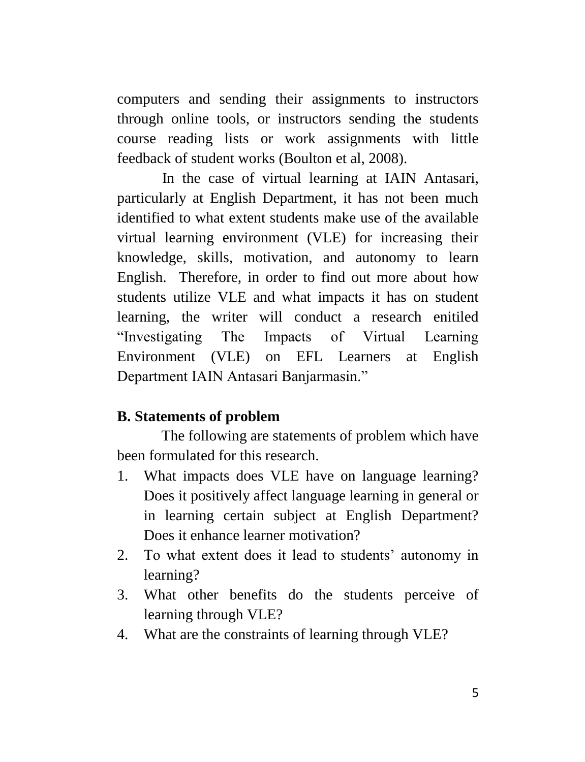computers and sending their assignments to instructors through online tools, or instructors sending the students course reading lists or work assignments with little feedback of student works (Boulton et al, 2008).

In the case of virtual learning at IAIN Antasari, particularly at English Department, it has not been much identified to what extent students make use of the available virtual learning environment (VLE) for increasing their knowledge, skills, motivation, and autonomy to learn English. Therefore, in order to find out more about how students utilize VLE and what impacts it has on student learning, the writer will conduct a research enitiled "Investigating The Impacts of Virtual Learning Environment (VLE) on EFL Learners at English Department IAIN Antasari Banjarmasin."

# **B. Statements of problem**

The following are statements of problem which have been formulated for this research.

- 1. What impacts does VLE have on language learning? Does it positively affect language learning in general or in learning certain subject at English Department? Does it enhance learner motivation?
- 2. To what extent does it lead to students" autonomy in learning?
- 3. What other benefits do the students perceive of learning through VLE?
- 4. What are the constraints of learning through VLE?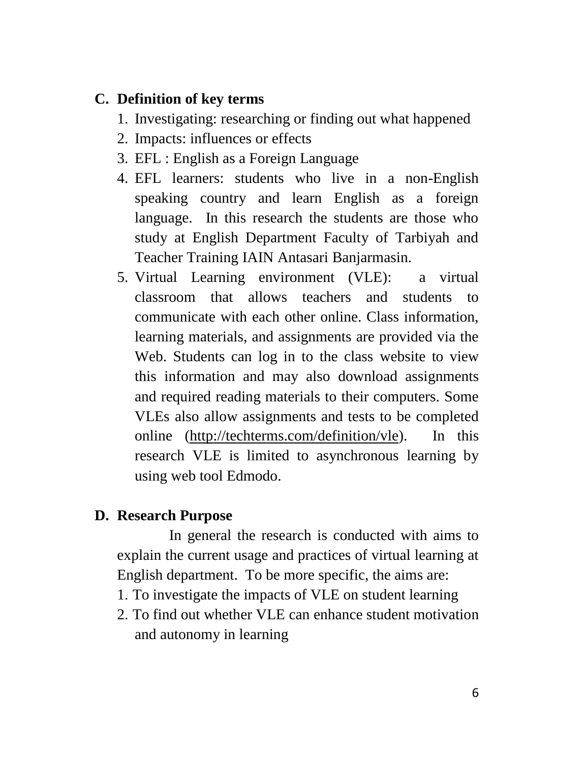# **C. Definition of key terms**

- 1. Investigating: researching or finding out what happened
- 2. Impacts: influences or effects
- 3. EFL : English as a Foreign Language
- 4. EFL learners: students who live in a non-English speaking country and learn English as a foreign language. In this research the students are those who study at English Department Faculty of Tarbiyah and Teacher Training IAIN Antasari Banjarmasin.
- 5. Virtual Learning environment (VLE): a virtual classroom that allows teachers and students to communicate with each other online. Class information, learning materials, and assignments are provided via the Web. Students can log in to the class [website](http://techterms.com/definition/website) to view this information and may also [download](http://techterms.com/definition/download) assignments and required reading materials to their computers. Some VLEs also allow assignments and tests to be completed online [\(http://techterms.com/definition/vle\)](http://techterms.com/definition/vle). In this research VLE is limited to asynchronous learning by using web tool Edmodo.

#### **D. Research Purpose**

In general the research is conducted with aims to explain the current usage and practices of virtual learning at English department. To be more specific, the aims are:

- 1. To investigate the impacts of VLE on student learning
- 2. To find out whether VLE can enhance student motivation and autonomy in learning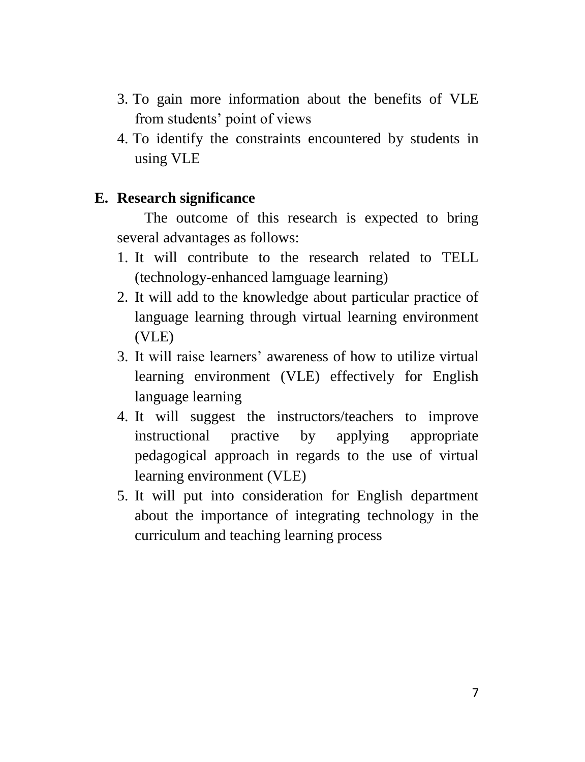- 3. To gain more information about the benefits of VLE from students' point of views
- 4. To identify the constraints encountered by students in using VLE

### **E. Research significance**

The outcome of this research is expected to bring several advantages as follows:

- 1. It will contribute to the research related to TELL (technology-enhanced lamguage learning)
- 2. It will add to the knowledge about particular practice of language learning through virtual learning environment (VLE)
- 3. It will raise learners" awareness of how to utilize virtual learning environment (VLE) effectively for English language learning
- 4. It will suggest the instructors/teachers to improve instructional practive by applying appropriate pedagogical approach in regards to the use of virtual learning environment (VLE)
- 5. It will put into consideration for English department about the importance of integrating technology in the curriculum and teaching learning process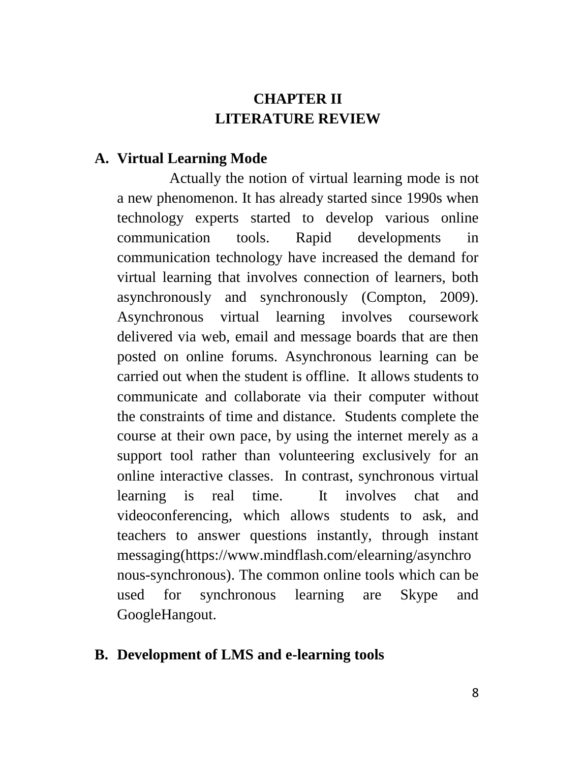# **CHAPTER II LITERATURE REVIEW**

#### **A. Virtual Learning Mode**

Actually the notion of virtual learning mode is not a new phenomenon. It has already started since 1990s when technology experts started to develop various online communication tools. Rapid developments in communication technology have increased the demand for virtual learning that involves connection of learners, both asynchronously and synchronously (Compton, 2009). Asynchronous virtual learning involves coursework delivered via web, email and message boards that are then posted on online forums. Asynchronous learning can be carried out when the student is offline. It allows students to communicate and collaborate via their computer without the constraints of time and distance. Students complete the course at their own pace, by using the internet merely as a support tool rather than volunteering exclusively for an online interactive classes. In contrast, synchronous virtual learning is real time. It involves chat and videoconferencing, which allows students to ask, and teachers to answer questions instantly, through instant messaging(https://www.mindflash.com/elearning/asynchro nous-synchronous). The common online tools which can be used for synchronous learning are Skype and GoogleHangout.

#### **B. Development of LMS and e-learning tools**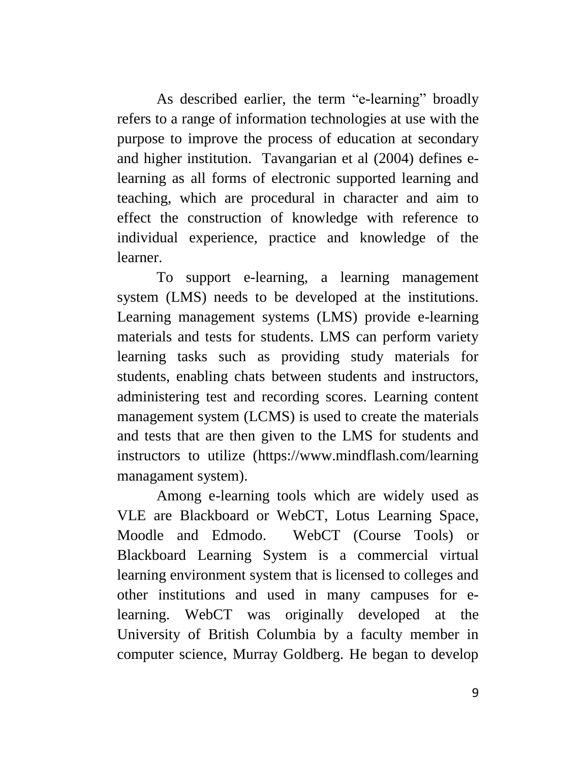As described earlier, the term ["e-learning"](http://www.mindflash.com/elearning) broadly refers to a range of information technologies at use with the purpose to improve the process of education at secondary and higher institution. Tavangarian et al (2004) defines elearning as all forms of electronic supported learning and teaching, which are procedural in character and aim to effect the construction of knowledge with reference to individual experience, practice and knowledge of the learner.

To support e-learning, a learning management system (LMS) needs to be developed at the institutions. Learning management systems (LMS) provide e-learning materials and tests for students. LMS can perform variety learning tasks such as providing study materials for students, enabling chats between students and instructors, administering test and recording scores. Learning content management system (LCMS) is used to create the materials and tests that are then given to the LMS for students and instructors to utilize (https://www.mindflash.com/learning managament system).

Among e-learning tools which are widely used as VLE are Blackboard or WebCT, Lotus Learning Space, Moodle and Edmodo. WebCT (Course Tools) or Blackboard Learning System is a commercial [virtual](http://en.wikipedia.org/wiki/Virtual_learning_environment)  [learning environment](http://en.wikipedia.org/wiki/Virtual_learning_environment) system that is licensed to colleges and other institutions and used in many [campuses](http://en.wikipedia.org/wiki/Campus) for [e](http://en.wikipedia.org/wiki/E-learning)[learning.](http://en.wikipedia.org/wiki/E-learning) WebCT was originally developed at the [University of British Columbia](http://en.wikipedia.org/wiki/University_of_British_Columbia) by a faculty member in computer science, [Murray Goldberg.](http://en.wikipedia.org/wiki/Murray_Goldberg) He began to develop

9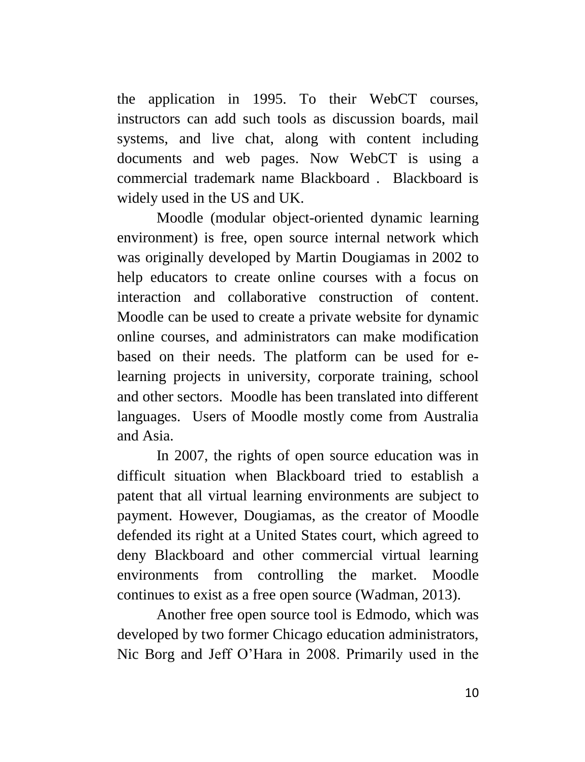the application in 1995. To their WebCT courses, instructors can add such tools as discussion boards, mail systems, and live chat, along with content including documents and web pages. Now WebCT is using a commercial trademark name Blackboard . Blackboard is widely used in the US and UK.

Moodle [\(modular](http://en.wikipedia.org/wiki/Modular) [object-oriented](http://en.wikipedia.org/wiki/Object-oriented_programming) [dynamic](http://en.wikipedia.org/wiki/Dynamic_programming) [learning](http://en.wikipedia.org/wiki/Virtual_learning_environment)  [environment\)](http://en.wikipedia.org/wiki/Virtual_learning_environment) is free, open source internal network which was originally developed by [Martin Dougiamas](http://en.wikipedia.org/wiki/Martin_Dougiamas) in 2002 to help educators to create online courses with a focus on interaction and collaborative construction of content. Moodle can be used to create a private [website](http://en.wikipedia.org/wiki/Website) for dynamic online courses, and administrators can make modification based on their needs. The platform can be used for elearning projects in university, corporate training, school and other sectors. Moodle has been translated into different languages. Users of Moodle mostly come from Australia and Asia.

In 2007, the rights of open source education was in difficult situation when Blackboard tried to establish a patent that all virtual learning environments are subject to payment. However, Dougiamas, as the creator of Moodle defended its right at a United States court, which agreed to deny Blackboard and other commercial virtual learning environments from controlling the market. Moodle continues to exist as a free open source (Wadman, 2013).

Another free open source tool is Edmodo, which was developed by two former Chicago education administrators, Nic Borg and Jeff O"Hara in 2008. Primarily used in the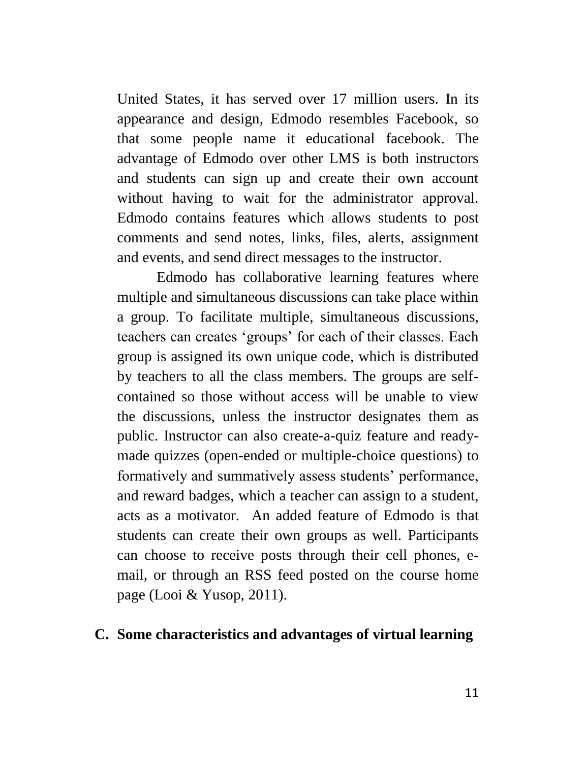United States, it has served over 17 million users. In its appearance and design, Edmodo resembles Facebook, so that some people name it educational facebook. The advantage of Edmodo over other LMS is both instructors and students can sign up and create their own account without having to wait for the administrator approval. Edmodo contains features which allows students to post comments and send notes, links, files, alerts, assignment and events, and send direct messages to the instructor.

Edmodo has collaborative learning features where multiple and simultaneous discussions can take place within a group. To facilitate multiple, simultaneous discussions, teachers can creates "groups" for each of their classes. Each group is assigned its own unique code, which is distributed by teachers to all the class members. The groups are selfcontained so those without access will be unable to view the discussions, unless the instructor designates them as public. Instructor can also create-a-quiz feature and readymade quizzes (open-ended or multiple-choice questions) to formatively and summatively assess students' performance, and reward badges, which a teacher can assign to a student, acts as a motivator. An added feature of Edmodo is that students can create their own groups as well. Participants can choose to receive posts through their cell phones, email, or through an RSS feed posted on the course home page (Looi & Yusop, 2011).

#### **C. Some characteristics and advantages of virtual learning**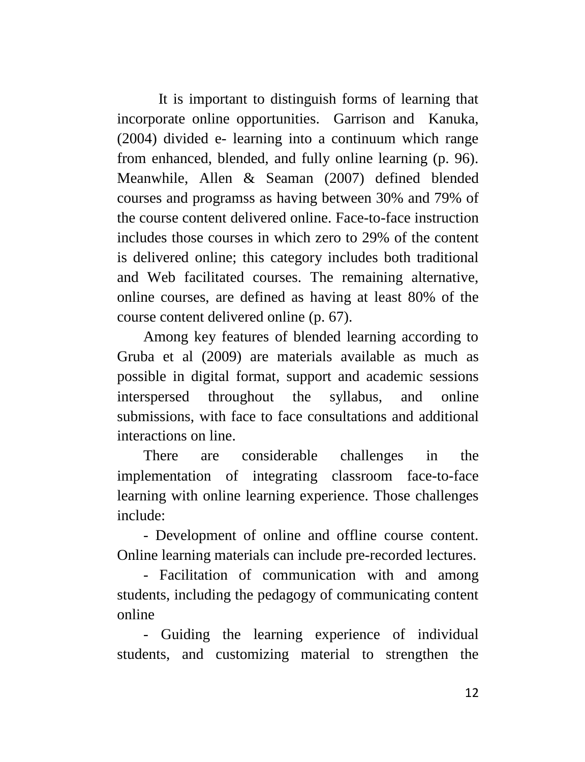It is important to distinguish forms of learning that incorporate online opportunities. Garrison and Kanuka, (2004) divided e- learning into a continuum which range from enhanced, blended, and fully online learning (p. 96). Meanwhile, Allen & Seaman (2007) defined blended courses and programss as having between 30% and 79% of the course content delivered online. Face-to-face instruction includes those courses in which zero to 29% of the content is delivered online; this category includes both traditional and Web facilitated courses. The remaining alternative, online courses, are defined as having at least 80% of the course content delivered online (p. 67).

Among key features of blended learning according to Gruba et al (2009) are materials available as much as possible in digital format, support and academic sessions interspersed throughout the syllabus, and online submissions, with face to face consultations and additional interactions on line.

There are considerable challenges in the implementation of integrating classroom face-to-face learning with online learning experience. Those challenges include:

- Development of online and offline course content. Online learning materials can include pre-recorded lectures.

- Facilitation of communication with and among students, including the pedagogy of communicating content online

- Guiding the learning experience of individual students, and customizing material to strengthen the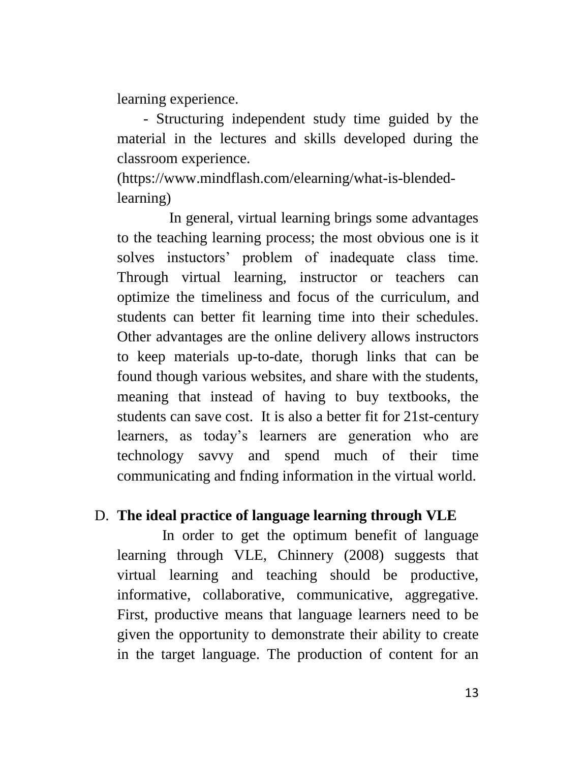learning experience.

- Structuring independent study time guided by the material in the lectures and skills developed during the classroom experience.

(https://www.mindflash.com/elearning/what-is-blendedlearning)

In general, virtual learning brings some advantages to the teaching learning process; the most obvious one is it solves instuctors" problem of inadequate class time. Through virtual learning, instructor or teachers can optimize the timeliness and focus of the curriculum, and students can better fit learning time into their schedules. Other advantages are the online delivery allows instructors to keep materials up-to-date, thorugh links that can be found though various websites, and share with the students, meaning that instead of having to buy textbooks, the students can save cost. It is also a better fit for 21st-century learners, as today"s learners are generation who are technology savvy and spend much of their time communicating and fnding information in the virtual world.

#### D. **The ideal practice of language learning through VLE**

In order to get the optimum benefit of language learning through VLE, Chinnery (2008) suggests that virtual learning and teaching should be productive, informative, collaborative, communicative, aggregative. First, productive means that language learners need to be given the opportunity to demonstrate their ability to create in the target language. The production of content for an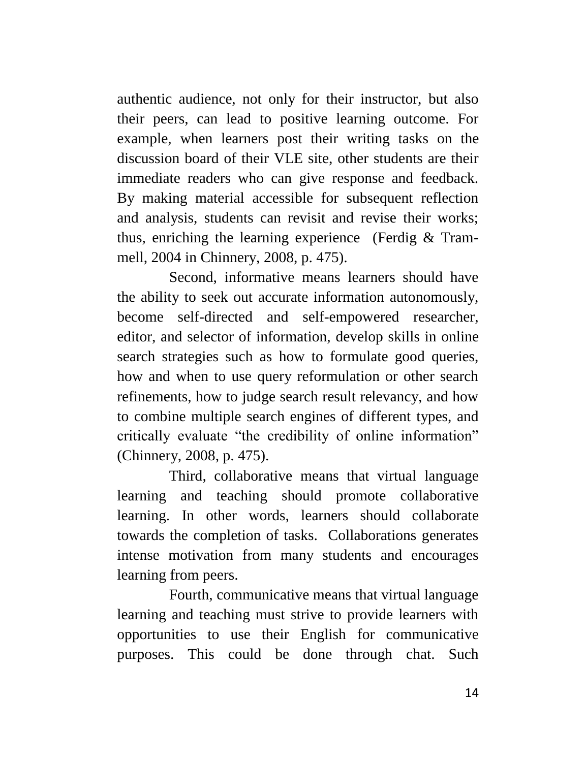authentic audience, not only for their instructor, but also their peers, can lead to positive learning outcome. For example, when learners post their writing tasks on the discussion board of their VLE site, other students are their immediate readers who can give response and feedback. By making material accessible for subsequent reflection and analysis, students can revisit and revise their works; thus, enriching the learning experience (Ferdig & Trammell, 2004 in Chinnery, 2008, p. 475).

Second, informative means learners should have the ability to seek out accurate information autonomously, become self-directed and self-empowered researcher, editor, and selector of information, develop skills in online search strategies such as how to formulate good queries, how and when to use query reformulation or other search refinements, how to judge search result relevancy, and how to combine multiple search engines of different types, and critically evaluate "the credibility of online information" (Chinnery, 2008, p. 475).

Third, collaborative means that virtual language learning and teaching should promote collaborative learning. In other words, learners should collaborate towards the completion of tasks. Collaborations generates intense motivation from many students and encourages learning from peers.

Fourth, communicative means that virtual language learning and teaching must strive to provide learners with opportunities to use their English for communicative purposes. This could be done through chat. Such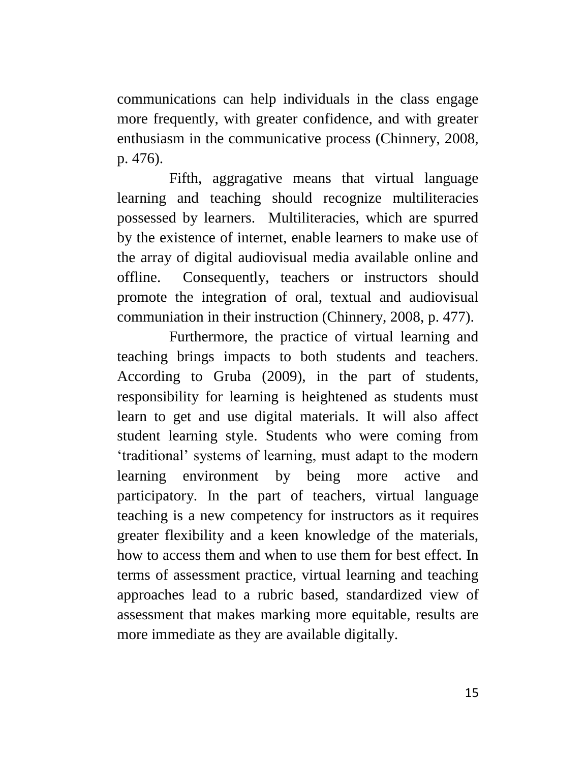communications can help individuals in the class engage more frequently, with greater confidence, and with greater enthusiasm in the communicative process (Chinnery, 2008, p. 476).

Fifth, aggragative means that virtual language learning and teaching should recognize multiliteracies possessed by learners. Multiliteracies, which are spurred by the existence of internet, enable learners to make use of the array of digital audiovisual media available online and offline. Consequently, teachers or instructors should promote the integration of oral, textual and audiovisual communiation in their instruction (Chinnery, 2008, p. 477).

Furthermore, the practice of virtual learning and teaching brings impacts to both students and teachers. According to Gruba (2009), in the part of students, responsibility for learning is heightened as students must learn to get and use digital materials. It will also affect student learning style. Students who were coming from "traditional" systems of learning, must adapt to the modern learning environment by being more active and participatory. In the part of teachers, virtual language teaching is a new competency for instructors as it requires greater flexibility and a keen knowledge of the materials, how to access them and when to use them for best effect. In terms of assessment practice, virtual learning and teaching approaches lead to a rubric based, standardized view of assessment that makes marking more equitable, results are more immediate as they are available digitally.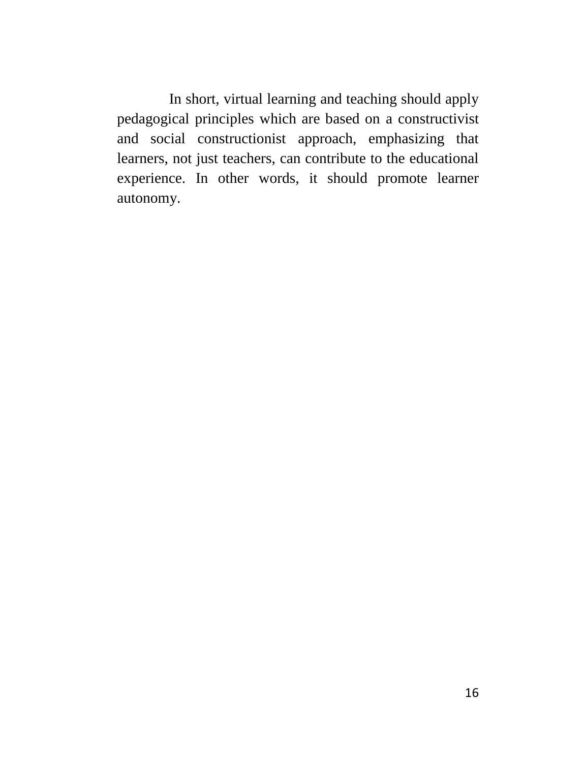In short, virtual learning and teaching should apply pedagogical principles which are based on a [constructivist](http://en.wikipedia.org/wiki/Constructivism_(pedagogical)) and [social constructionist](http://en.wikipedia.org/wiki/Social_constructionism) approach, emphasizing that learners, not just teachers, can contribute to the educational experience. In other words, it should promote learner autonomy.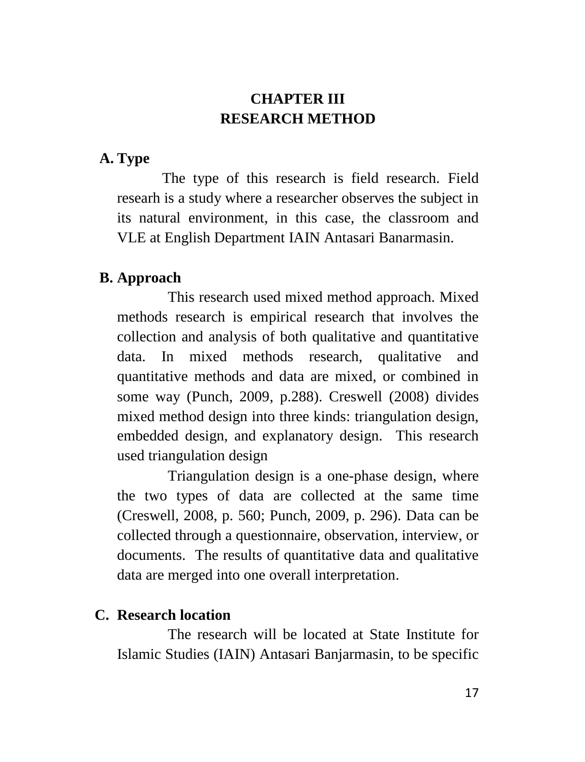# **CHAPTER III RESEARCH METHOD**

#### **A. Type**

The type of this research is field research. Field researh is a study where a researcher observes the subject in its natural environment, in this case, the classroom and VLE at English Department IAIN Antasari Banarmasin.

#### **B. Approach**

This research used mixed method approach. Mixed methods research is empirical research that involves the collection and analysis of both qualitative and quantitative data. In mixed methods research, qualitative and quantitative methods and data are mixed, or combined in some way (Punch, 2009, p.288). Creswell (2008) divides mixed method design into three kinds: triangulation design, embedded design, and explanatory design. This research used triangulation design

Triangulation design is a one-phase design, where the two types of data are collected at the same time (Creswell, 2008, p. 560; Punch, 2009, p. 296). Data can be collected through a questionnaire, observation, interview, or documents. The results of quantitative data and qualitative data are merged into one overall interpretation.

# **C. Research location**

The research will be located at State Institute for Islamic Studies (IAIN) Antasari Banjarmasin, to be specific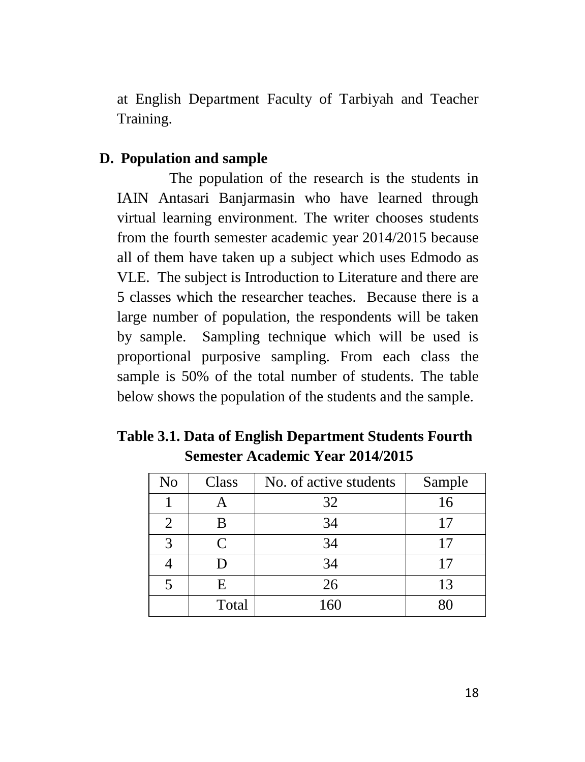at English Department Faculty of Tarbiyah and Teacher Training.

### **D. Population and sample**

The population of the research is the students in IAIN Antasari Banjarmasin who have learned through virtual learning environment. The writer chooses students from the fourth semester academic year 2014/2015 because all of them have taken up a subject which uses Edmodo as VLE. The subject is Introduction to Literature and there are 5 classes which the researcher teaches. Because there is a large number of population, the respondents will be taken by sample. Sampling technique which will be used is proportional purposive sampling. From each class the sample is 50% of the total number of students. The table below shows the population of the students and the sample.

|                                         | Table 3.1. Data of English Department Students Fourth |
|-----------------------------------------|-------------------------------------------------------|
| <b>Semester Academic Year 2014/2015</b> |                                                       |

| No                          | Class     | No. of active students | Sample |
|-----------------------------|-----------|------------------------|--------|
|                             |           | 32                     | 16     |
| $\mathcal{D}_{\mathcal{L}}$ | B         | 34                     | 17     |
| $\mathcal{R}$               | $\subset$ | 34                     | 17     |
|                             |           | 34                     |        |
|                             | F.        | 26                     | 13     |
|                             | Total     | 160                    |        |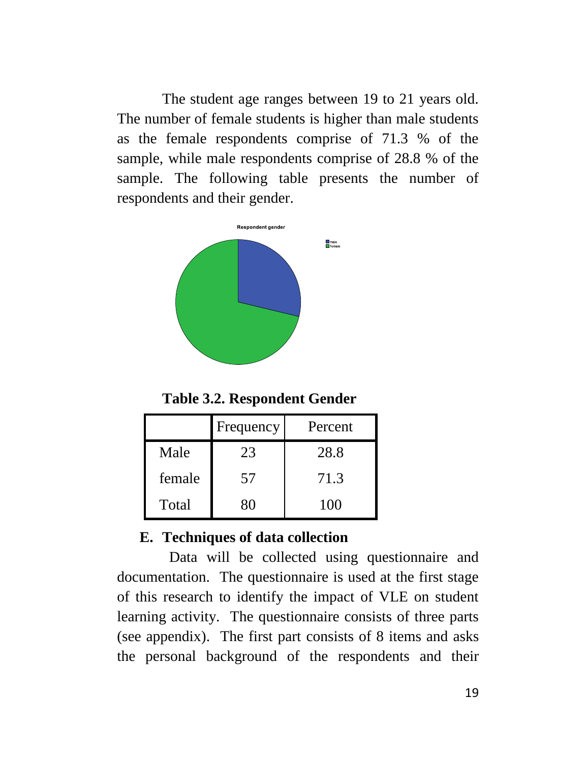The student age ranges between 19 to 21 years old. The number of female students is higher than male students as the female respondents comprise of 71.3 % of the sample, while male respondents comprise of 28.8 % of the sample. The following table presents the number of respondents and their gender.



**Table 3.2. Respondent Gender**

|        | Frequency | Percent |
|--------|-----------|---------|
| Male   | 23        | 28.8    |
| female | 57        | 71.3    |
| Total  | 80        | 100     |

# **E. Techniques of data collection**

Data will be collected using questionnaire and documentation. The questionnaire is used at the first stage of this research to identify the impact of VLE on student learning activity. The questionnaire consists of three parts (see appendix). The first part consists of 8 items and asks the personal background of the respondents and their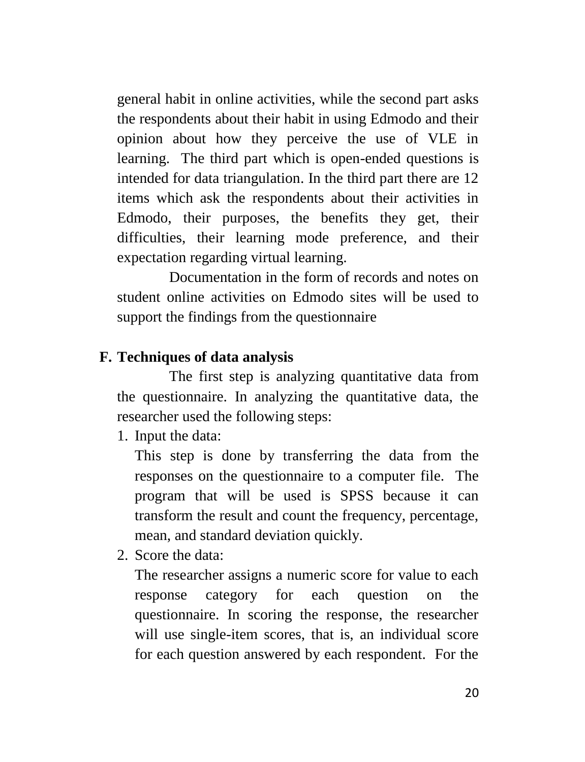general habit in online activities, while the second part asks the respondents about their habit in using Edmodo and their opinion about how they perceive the use of VLE in learning. The third part which is open-ended questions is intended for data triangulation. In the third part there are 12 items which ask the respondents about their activities in Edmodo, their purposes, the benefits they get, their difficulties, their learning mode preference, and their expectation regarding virtual learning.

Documentation in the form of records and notes on student online activities on Edmodo sites will be used to support the findings from the questionnaire

#### **F. Techniques of data analysis**

The first step is analyzing quantitative data from the questionnaire. In analyzing the quantitative data, the researcher used the following steps:

1. Input the data:

This step is done by transferring the data from the responses on the questionnaire to a computer file. The program that will be used is SPSS because it can transform the result and count the frequency, percentage, mean, and standard deviation quickly.

2. Score the data:

The researcher assigns a numeric score for value to each response category for each question on the questionnaire. In scoring the response, the researcher will use single-item scores, that is, an individual score for each question answered by each respondent. For the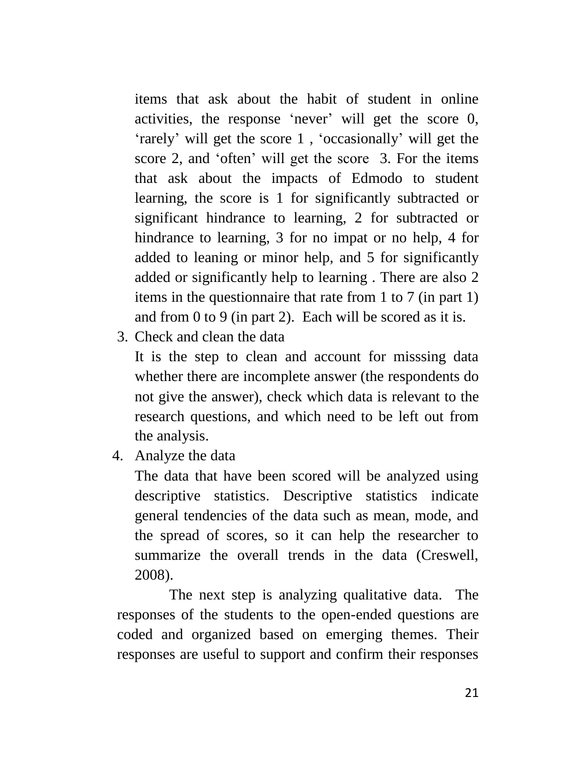items that ask about the habit of student in online activities, the response "never" will get the score 0, "rarely" will get the score 1 , "occasionally" will get the score 2, and 'often' will get the score 3. For the items that ask about the impacts of Edmodo to student learning, the score is 1 for significantly subtracted or significant hindrance to learning, 2 for subtracted or hindrance to learning, 3 for no impat or no help, 4 for added to leaning or minor help, and 5 for significantly added or significantly help to learning . There are also 2 items in the questionnaire that rate from 1 to 7 (in part 1) and from 0 to 9 (in part 2). Each will be scored as it is.

3. Check and clean the data

It is the step to clean and account for misssing data whether there are incomplete answer (the respondents do not give the answer), check which data is relevant to the research questions, and which need to be left out from the analysis.

4. Analyze the data

The data that have been scored will be analyzed using descriptive statistics. Descriptive statistics indicate general tendencies of the data such as mean, mode, and the spread of scores, so it can help the researcher to summarize the overall trends in the data (Creswell, 2008).

The next step is analyzing qualitative data. The responses of the students to the open-ended questions are coded and organized based on emerging themes. Their responses are useful to support and confirm their responses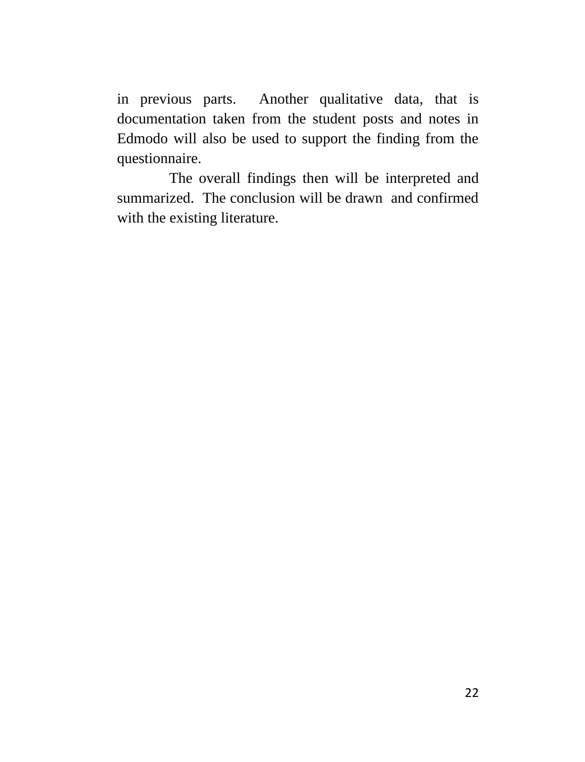in previous parts. Another qualitative data, that is documentation taken from the student posts and notes in Edmodo will also be used to support the finding from the questionnaire.

The overall findings then will be interpreted and summarized. The conclusion will be drawn and confirmed with the existing literature.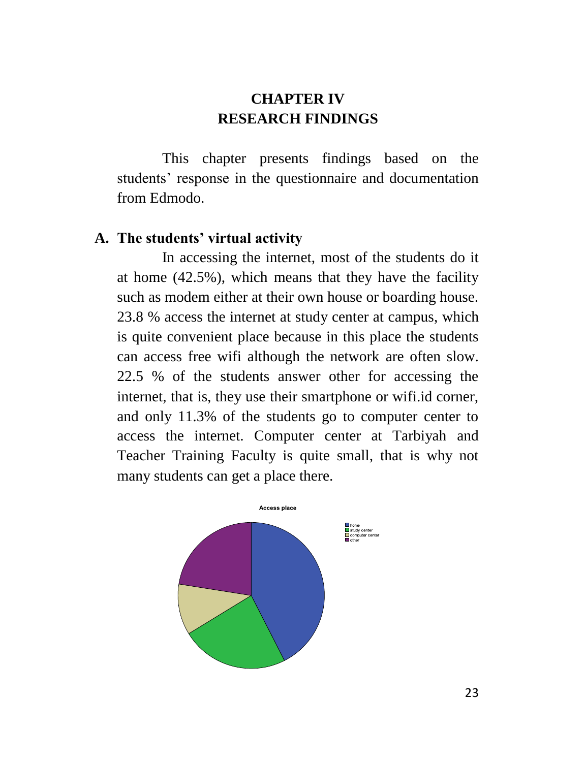# **CHAPTER IV RESEARCH FINDINGS**

This chapter presents findings based on the students' response in the questionnaire and documentation from Edmodo.

#### **A. The students' virtual activity**

In accessing the internet, most of the students do it at home (42.5%), which means that they have the facility such as modem either at their own house or boarding house. 23.8 % access the internet at study center at campus, which is quite convenient place because in this place the students can access free wifi although the network are often slow. 22.5 % of the students answer other for accessing the internet, that is, they use their smartphone or wifi.id corner, and only 11.3% of the students go to computer center to access the internet. Computer center at Tarbiyah and Teacher Training Faculty is quite small, that is why not many students can get a place there.

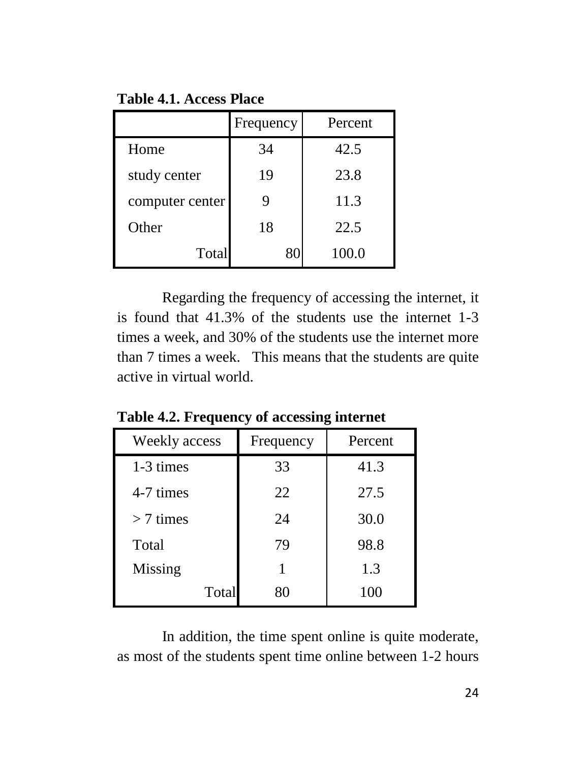**Table 4.1. Access Place**

|                 | Frequency | Percent |
|-----------------|-----------|---------|
| Home            | 34        | 42.5    |
| study center    | 19        | 23.8    |
| computer center |           | 11.3    |
| Other           | 18        | 22.5    |
| Total           | 80        | 100.0   |

Regarding the frequency of accessing the internet, it is found that 41.3% of the students use the internet 1-3 times a week, and 30% of the students use the internet more than 7 times a week. This means that the students are quite active in virtual world.

| Weekly access | Frequency | Percent |
|---------------|-----------|---------|
| 1-3 times     | 33        | 41.3    |
| 4-7 times     | 22        | 27.5    |
| $>$ 7 times   | 24        | 30.0    |
| Total         | 79        | 98.8    |
| Missing       |           | 1.3     |
| Total         | 80        | 100     |

**Table 4.2. Frequency of accessing internet**

In addition, the time spent online is quite moderate, as most of the students spent time online between 1-2 hours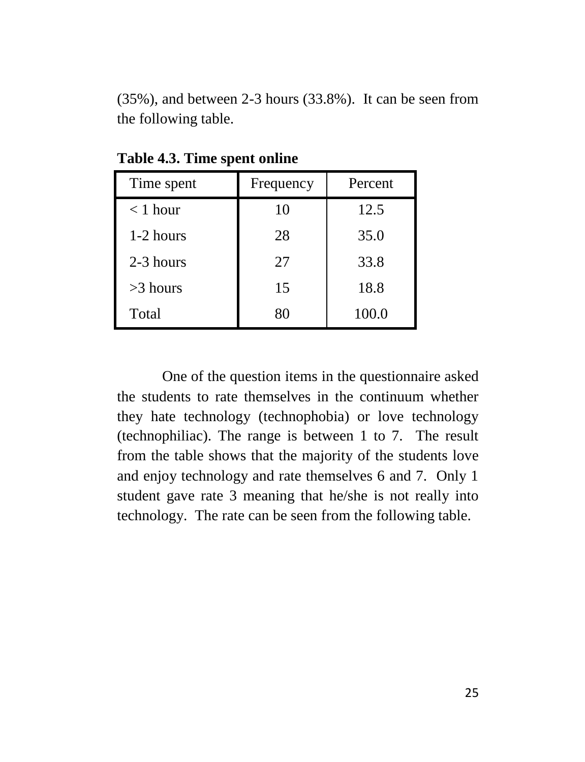(35%), and between 2-3 hours (33.8%). It can be seen from the following table.

| Time spent | Frequency | Percent |
|------------|-----------|---------|
| $<$ 1 hour | 10        | 12.5    |
| 1-2 hours  | 28        | 35.0    |
| 2-3 hours  | 27        | 33.8    |
| $>3$ hours | 15        | 18.8    |
| Total      | 80        | 100.0   |

**Table 4.3. Time spent online**

One of the question items in the questionnaire asked the students to rate themselves in the continuum whether they hate technology (technophobia) or love technology (technophiliac). The range is between 1 to 7. The result from the table shows that the majority of the students love and enjoy technology and rate themselves 6 and 7. Only 1 student gave rate 3 meaning that he/she is not really into technology. The rate can be seen from the following table.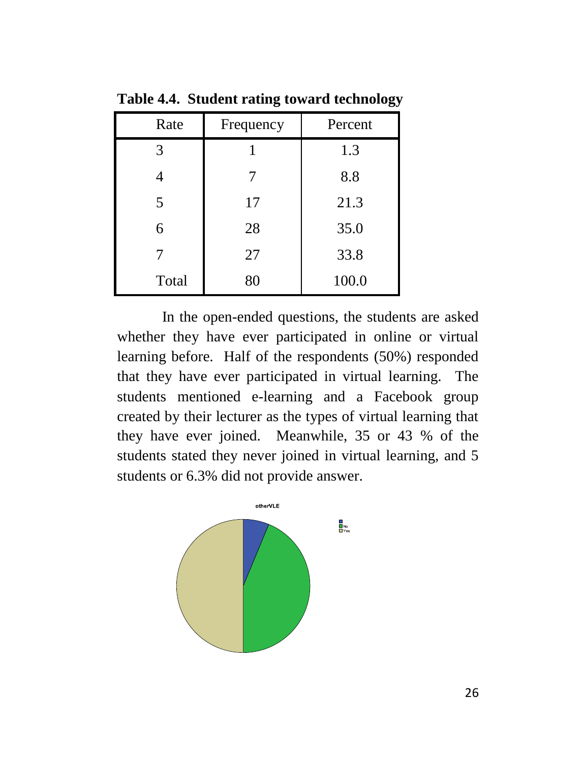| Rate  | Frequency | Percent |
|-------|-----------|---------|
| 3     |           | 1.3     |
| Δ     |           | 8.8     |
| 5     | 17        | 21.3    |
| 6     | 28        | 35.0    |
|       | 27        | 33.8    |
| Total | 80        | 100.0   |

**Table 4.4. Student rating toward technology**

In the open-ended questions, the students are asked whether they have ever participated in online or virtual learning before. Half of the respondents (50%) responded that they have ever participated in virtual learning. The students mentioned e-learning and a Facebook group created by their lecturer as the types of virtual learning that they have ever joined. Meanwhile, 35 or 43 % of the students stated they never joined in virtual learning, and 5 students or 6.3% did not provide answer.

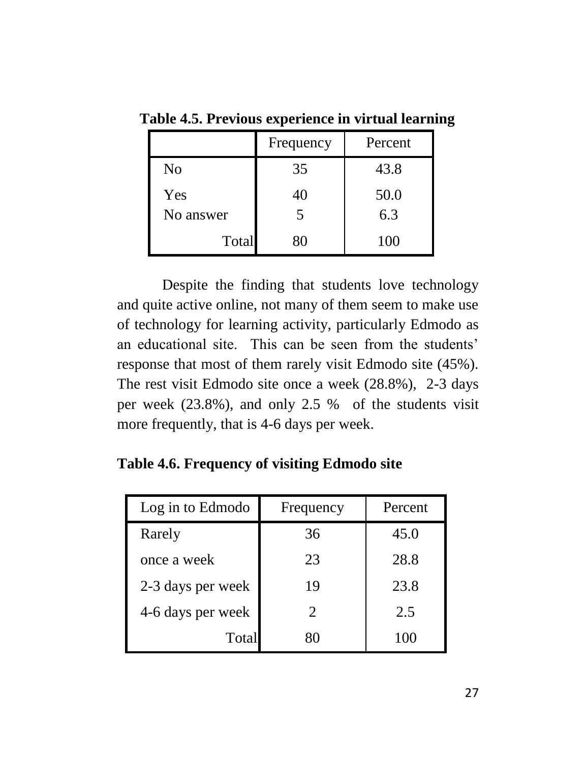|           | Frequency | Percent |
|-----------|-----------|---------|
| No        | 35        | 43.8    |
| Yes       | 40        | 50.0    |
| No answer | 5         | 6.3     |
| Total     | x٥        | 100     |

 **Table 4.5. Previous experience in virtual learning**

Despite the finding that students love technology and quite active online, not many of them seem to make use of technology for learning activity, particularly Edmodo as an educational site. This can be seen from the students' response that most of them rarely visit Edmodo site (45%). The rest visit Edmodo site once a week (28.8%), 2-3 days per week (23.8%), and only 2.5 % of the students visit more frequently, that is 4-6 days per week.

**Table 4.6. Frequency of visiting Edmodo site**

| Log in to Edmodo  | Frequency             | Percent |
|-------------------|-----------------------|---------|
| Rarely            | 36                    | 45.0    |
| once a week       | 23                    | 28.8    |
| 2-3 days per week | 19                    | 23.8    |
| 4-6 days per week | $\mathcal{D}_{\cdot}$ | 2.5     |
| Total             | ଧା                    | 100     |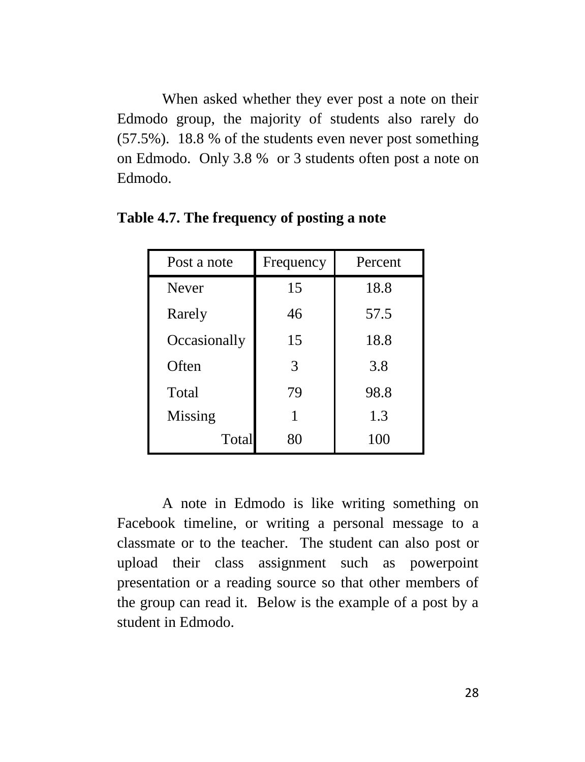When asked whether they ever post a note on their Edmodo group, the majority of students also rarely do (57.5%). 18.8 % of the students even never post something on Edmodo. Only 3.8 % or 3 students often post a note on Edmodo.

| Post a note  | Frequency | Percent |
|--------------|-----------|---------|
| Never        | 15        | 18.8    |
| Rarely       | 46        | 57.5    |
| Occasionally | 15        | 18.8    |
| Often        | 3         | 3.8     |
| Total        | 79        | 98.8    |
| Missing      |           | 1.3     |
| Total        | 80        | 100     |

**Table 4.7. The frequency of posting a note**

A note in Edmodo is like writing something on Facebook timeline, or writing a personal message to a classmate or to the teacher. The student can also post or upload their class assignment such as powerpoint presentation or a reading source so that other members of the group can read it. Below is the example of a post by a student in Edmodo.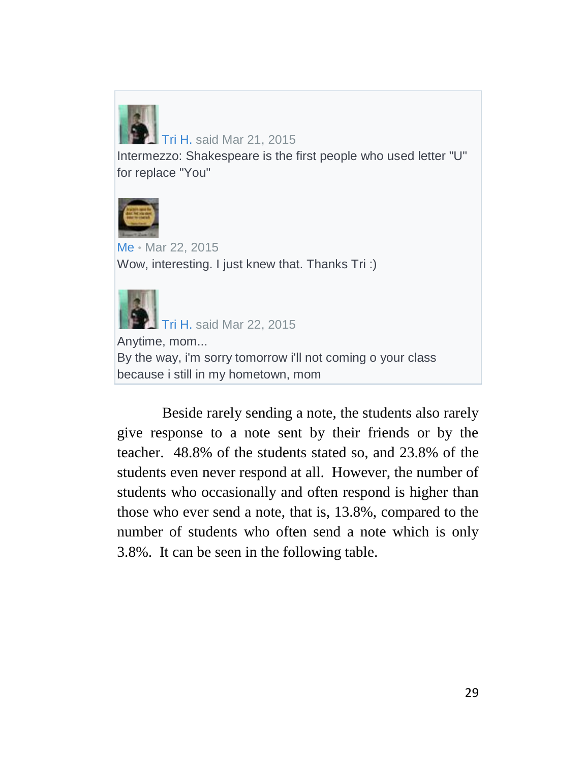

# [Tri H.](https://www.edmodo.com/home#/user?uid=67507669) said Mar 21, 2015

Intermezzo: Shakespeare is the first people who used letter "U" for replace "You"



[Me](https://www.edmodo.com/home#/profile/17817820) • Mar 22, 2015 Wow, interesting. I just knew that. Thanks Tri:)



[Tri H.](https://www.edmodo.com/home#/user?uid=67507669) said Mar 22, 2015

Anytime, mom... By the way, i'm sorry tomorrow i'll not coming o your class because i still in my hometown, mom

Beside rarely sending a note, the students also rarely give response to a note sent by their friends or by the teacher. 48.8% of the students stated so, and 23.8% of the students even never respond at all. However, the number of students who occasionally and often respond is higher than those who ever send a note, that is, 13.8%, compared to the number of students who often send a note which is only 3.8%. It can be seen in the following table.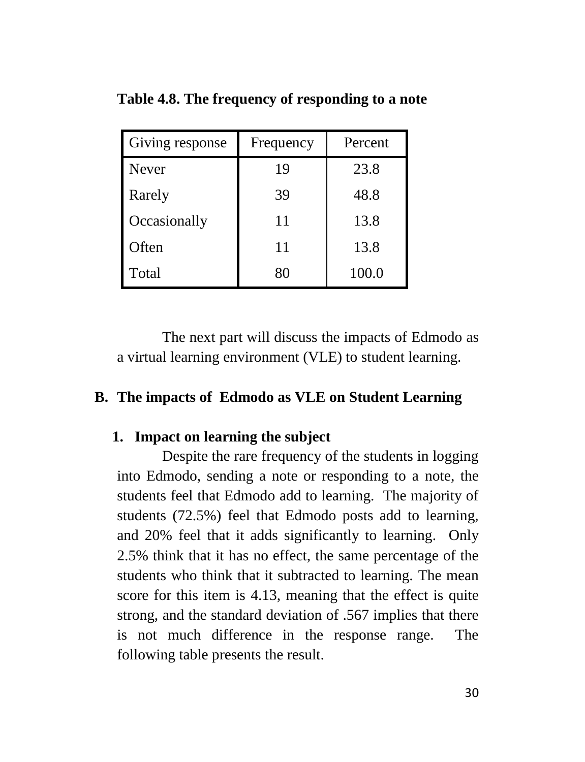| Giving response | Frequency | Percent |
|-----------------|-----------|---------|
| <b>Never</b>    | 19        | 23.8    |
| Rarely          | 39        | 48.8    |
| Occasionally    | 11        | 13.8    |
| Often           | 11        | 13.8    |
| Total           | 80        | 100.0   |

**Table 4.8. The frequency of responding to a note**

The next part will discuss the impacts of Edmodo as a virtual learning environment (VLE) to student learning.

#### **B. The impacts of Edmodo as VLE on Student Learning**

#### **1. Impact on learning the subject**

Despite the rare frequency of the students in logging into Edmodo, sending a note or responding to a note, the students feel that Edmodo add to learning. The majority of students (72.5%) feel that Edmodo posts add to learning, and 20% feel that it adds significantly to learning. Only 2.5% think that it has no effect, the same percentage of the students who think that it subtracted to learning. The mean score for this item is 4.13, meaning that the effect is quite strong, and the standard deviation of .567 implies that there is not much difference in the response range. The following table presents the result.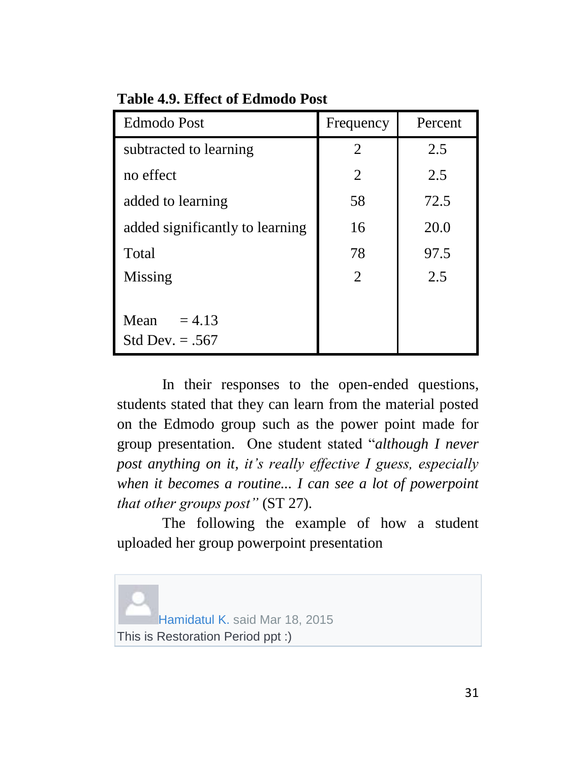| <b>Edmodo Post</b>                    | Frequency             | Percent |
|---------------------------------------|-----------------------|---------|
| subtracted to learning                | 2                     | 2.5     |
| no effect                             | 2                     | 2.5     |
| added to learning                     | 58                    | 72.5    |
| added significantly to learning       | 16                    | 20.0    |
| Total                                 | 78                    | 97.5    |
| Missing                               | $\mathcal{D}_{\cdot}$ | 2.5     |
| Mean<br>$= 4.13$<br>Std Dev. $= .567$ |                       |         |

**Table 4.9. Effect of Edmodo Post**

In their responses to the open-ended questions, students stated that they can learn from the material posted on the Edmodo group such as the power point made for group presentation. One student stated "*although I never post anything on it, it's really effective I guess, especially when it becomes a routine... I can see a lot of powerpoint that other groups post"* (ST 27).

The following the example of how a student uploaded her group powerpoint presentation

[Hamidatul K.](https://www.edmodo.com/home#/user?uid=67368417) said Mar 18, 2015 This is Restoration Period ppt :)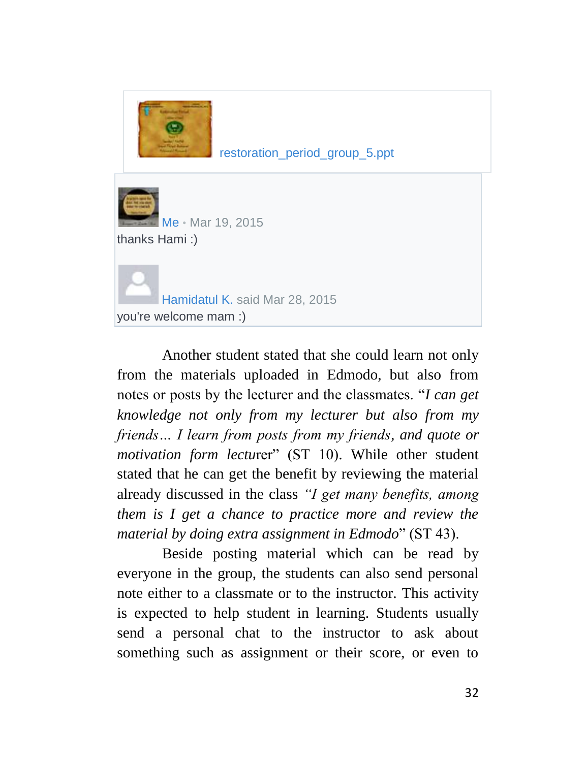

[restoration\\_period\\_group\\_5.ppt](https://www.edmodo.com/file/view-office-online?id=1cbaac89c382b569428ce4a557493885)

[Me](https://www.edmodo.com/home#/profile/17817820) • Mar 19, 2015 thanks Hami :)

[Hamidatul K.](https://www.edmodo.com/home#/user?uid=67368417) said Mar 28, 2015 you're welcome mam :)

Another student stated that she could learn not only from the materials uploaded in Edmodo, but also from notes or posts by the lecturer and the classmates. "*I can get knowledge not only from my lecturer but also from my friends… I learn from posts from my friends, and quote or motivation form lectu*rer" (ST 10). While other student stated that he can get the benefit by reviewing the material already discussed in the class *"I get many benefits, among them is I get a chance to practice more and review the material by doing extra assignment in Edmodo*" (ST 43).

Beside posting material which can be read by everyone in the group, the students can also send personal note either to a classmate or to the instructor. This activity is expected to help student in learning. Students usually send a personal chat to the instructor to ask about something such as assignment or their score, or even to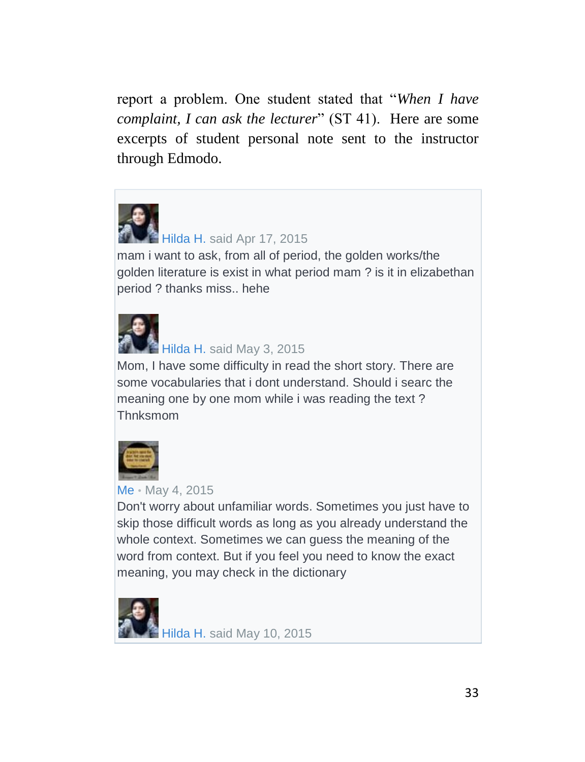report a problem. One student stated that "*When I have complaint, I can ask the lecturer*" (ST 41). Here are some excerpts of student personal note sent to the instructor through Edmodo.



# [Hilda H.](https://www.edmodo.com/home#/user?uid=67970801) said Apr 17, 2015

mam i want to ask, from all of period, the golden works/the golden literature is exist in what period mam ? is it in elizabethan period ? thanks miss.. hehe



#### [Hilda H.](https://www.edmodo.com/home#/user?uid=67970801) said May 3, 2015

Mom, I have some difficulty in read the short story. There are some vocabularies that i dont understand. Should i searc the meaning one by one mom while i was reading the text ? Thnksmom



#### [Me](https://www.edmodo.com/home#/profile/17817820) • May 4, 2015

Don't worry about unfamiliar words. Sometimes you just have to skip those difficult words as long as you already understand the whole context. Sometimes we can guess the meaning of the word from context. But if you feel you need to know the exact meaning, you may check in the dictionary

[Hilda H.](https://www.edmodo.com/home#/user?uid=67970801) said May 10, 2015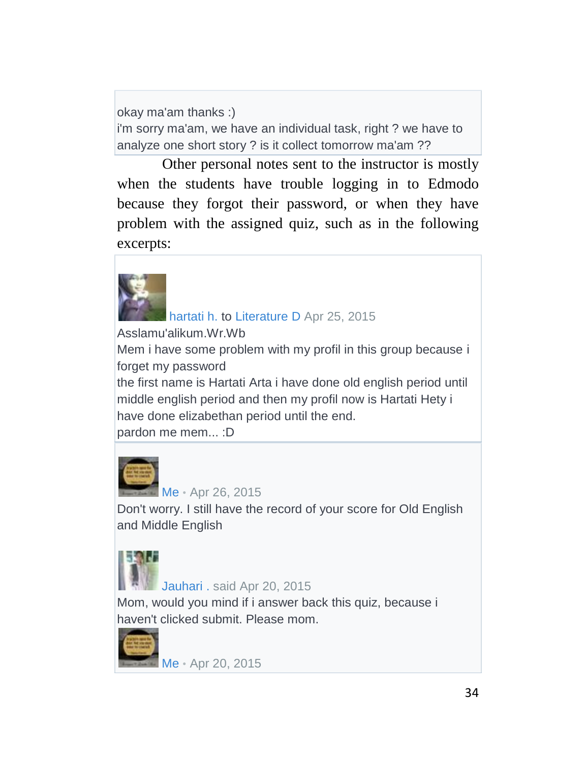okay ma'am thanks :) i'm sorry ma'am, we have an individual task, right ? we have to analyze one short story ? is it collect tomorrow ma'am ??

Other personal notes sent to the instructor is mostly when the students have trouble logging in to Edmodo because they forgot their password, or when they have problem with the assigned quiz, such as in the following excerpts:

[hartati h.](https://www.edmodo.com/home#/user?uid=71269311) to [Literature D](https://www.edmodo.com/home#/group?id=12928871) Apr 25, 2015 Asslamu'alikum.Wr.Wb Mem i have some problem with my profil in this group because i forget my password the first name is Hartati Arta i have done old english period until middle english period and then my profil now is Hartati Hety i have done elizabethan period until the end.

pardon me mem... :D



[Me](https://www.edmodo.com/home#/profile/17817820) • Apr 26, 2015 Don't worry. I still have the record of your score for Old English and Middle English



[Jauhari .](https://www.edmodo.com/home#/user?uid=67522541) said Apr 20, 2015

Mom, would you mind if i answer back this quiz, because i haven't clicked submit. Please mom.



[Me](https://www.edmodo.com/home#/profile/17817820) • Apr 20, 2015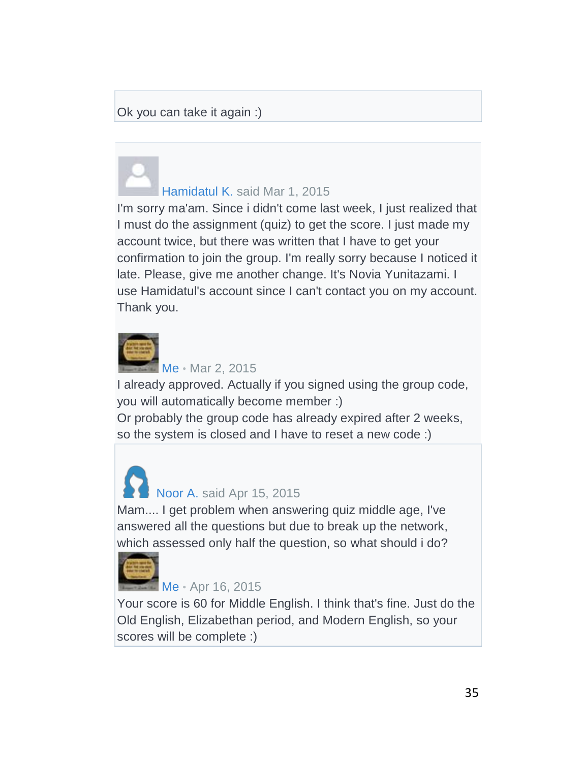#### Ok you can take it again :)

# [Hamidatul K.](https://www.edmodo.com/home#/user?uid=67368417) said Mar 1, 2015

I'm sorry ma'am. Since i didn't come last week, I just realized that I must do the assignment (quiz) to get the score. I just made my account twice, but there was written that I have to get your confirmation to join the group. I'm really sorry because I noticed it late. Please, give me another change. It's Novia Yunitazami. I use Hamidatul's account since I can't contact you on my account. Thank you.



[Me](https://www.edmodo.com/home#/profile/17817820) • Mar 2, 2015

I already approved. Actually if you signed using the group code, you will automatically become member :)

Or probably the group code has already expired after 2 weeks, so the system is closed and I have to reset a new code :)

# [Noor A.](https://www.edmodo.com/home#/user?uid=67727887) said Apr 15, 2015

Mam.... I get problem when answering quiz middle age, I've answered all the questions but due to break up the network, which assessed only half the question, so what should i do?



#### [Me](https://www.edmodo.com/home#/profile/17817820) • Apr 16, 2015

Your score is 60 for Middle English. I think that's fine. Just do the Old English, Elizabethan period, and Modern English, so your scores will be complete :)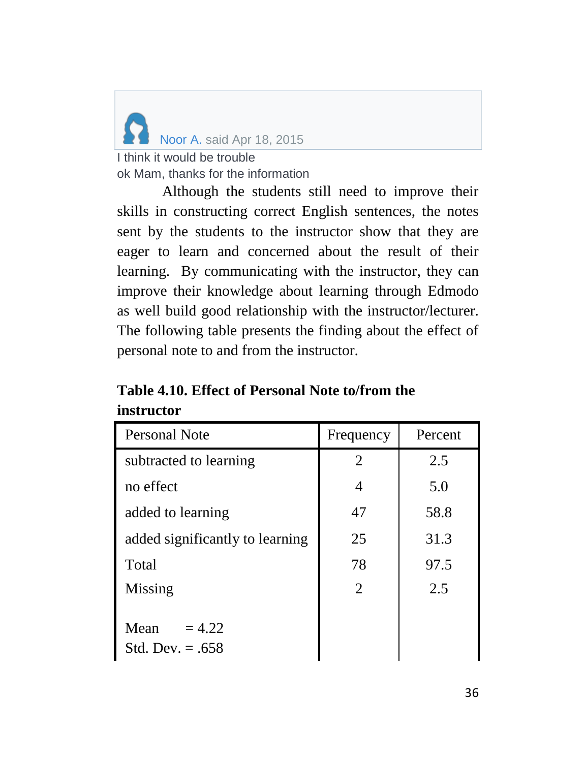

ok Mam, thanks for the information

Although the students still need to improve their skills in constructing correct English sentences, the notes sent by the students to the instructor show that they are eager to learn and concerned about the result of their learning. By communicating with the instructor, they can improve their knowledge about learning through Edmodo as well build good relationship with the instructor/lecturer. The following table presents the finding about the effect of personal note to and from the instructor.

| Table 4.10. Effect of Personal Note to/from the |  |
|-------------------------------------------------|--|
| instructor                                      |  |

| Personal Note                          | Frequency      | Percent |
|----------------------------------------|----------------|---------|
| subtracted to learning                 | $\overline{2}$ | 2.5     |
| no effect                              | 4              | 5.0     |
| added to learning                      | 47             | 58.8    |
| added significantly to learning        | 25             | 31.3    |
| Total                                  | 78             | 97.5    |
| Missing                                | $\overline{2}$ | 2.5     |
| Mean<br>$= 4.22$<br>Std. Dev. $= .658$ |                |         |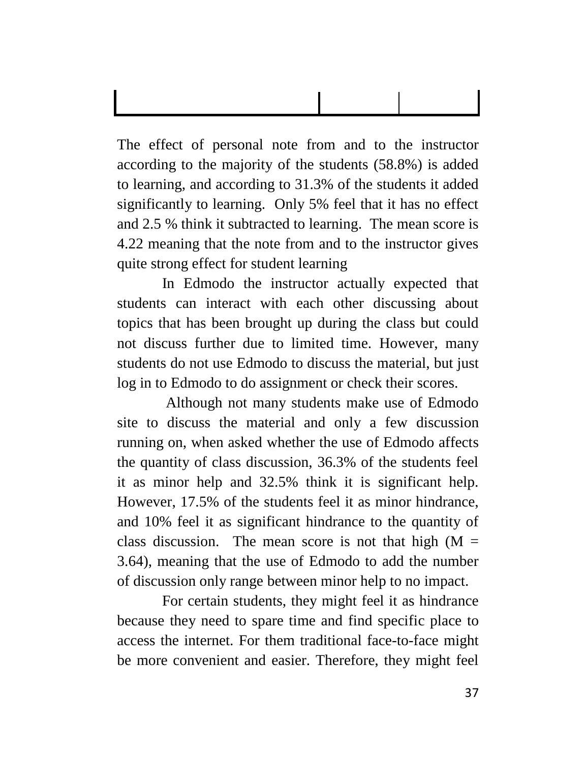The effect of personal note from and to the instructor according to the majority of the students (58.8%) is added to learning, and according to 31.3% of the students it added significantly to learning. Only 5% feel that it has no effect and 2.5 % think it subtracted to learning. The mean score is 4.22 meaning that the note from and to the instructor gives quite strong effect for student learning

In Edmodo the instructor actually expected that students can interact with each other discussing about topics that has been brought up during the class but could not discuss further due to limited time. However, many students do not use Edmodo to discuss the material, but just log in to Edmodo to do assignment or check their scores.

Although not many students make use of Edmodo site to discuss the material and only a few discussion running on, when asked whether the use of Edmodo affects the quantity of class discussion, 36.3% of the students feel it as minor help and 32.5% think it is significant help. However, 17.5% of the students feel it as minor hindrance, and 10% feel it as significant hindrance to the quantity of class discussion. The mean score is not that high  $(M =$ 3.64), meaning that the use of Edmodo to add the number of discussion only range between minor help to no impact.

For certain students, they might feel it as hindrance because they need to spare time and find specific place to access the internet. For them traditional face-to-face might be more convenient and easier. Therefore, they might feel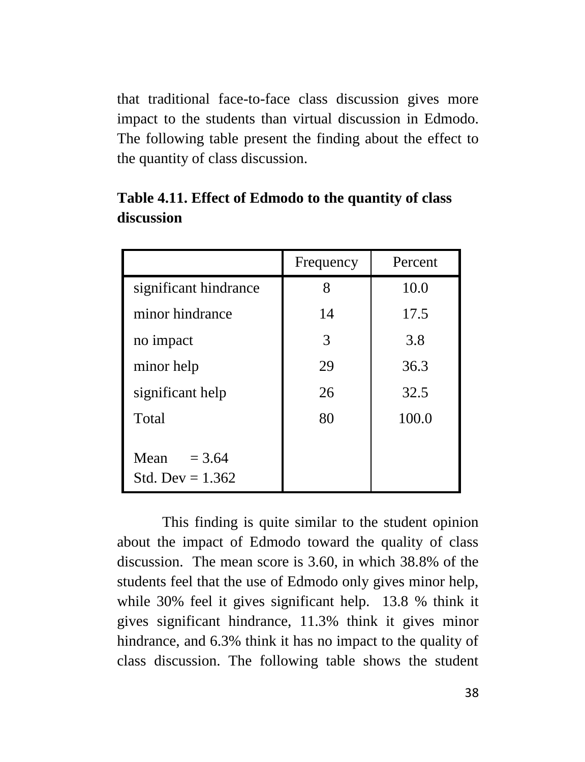that traditional face-to-face class discussion gives more impact to the students than virtual discussion in Edmodo. The following table present the finding about the effect to the quantity of class discussion.

|                                        | Frequency | Percent |
|----------------------------------------|-----------|---------|
| significant hindrance                  | 8         | 10.0    |
| minor hindrance                        | 14        | 17.5    |
| no impact                              | 3         | 3.8     |
| minor help                             | 29        | 36.3    |
| significant help                       | 26        | 32.5    |
| Total                                  | 80        | 100.0   |
| Mean<br>$= 3.64$<br>Std. Dev = $1.362$ |           |         |

**Table 4.11. Effect of Edmodo to the quantity of class discussion**

This finding is quite similar to the student opinion about the impact of Edmodo toward the quality of class discussion. The mean score is 3.60, in which 38.8% of the students feel that the use of Edmodo only gives minor help, while 30% feel it gives significant help. 13.8 % think it gives significant hindrance, 11.3% think it gives minor hindrance, and 6.3% think it has no impact to the quality of class discussion. The following table shows the student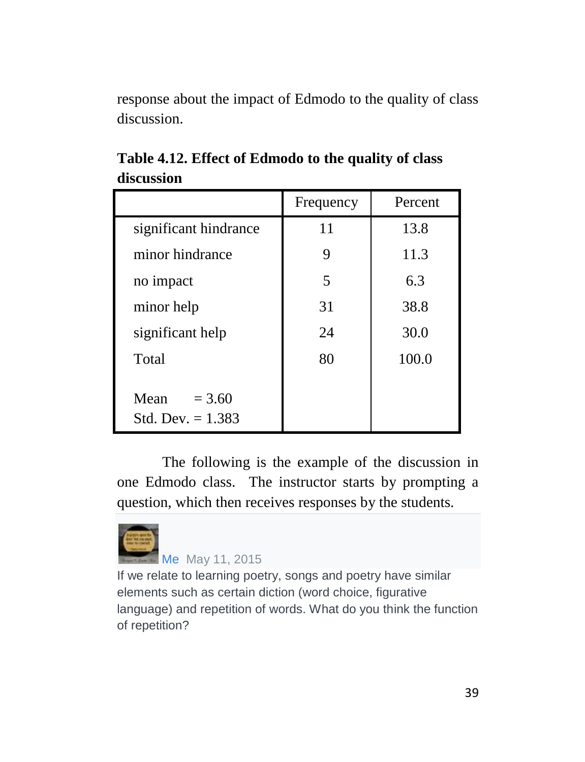response about the impact of Edmodo to the quality of class discussion.

|                                         | Frequency | Percent |
|-----------------------------------------|-----------|---------|
| significant hindrance                   | 11        | 13.8    |
| minor hindrance                         | 9         | 11.3    |
| no impact                               | 5         | 6.3     |
| minor help                              | 31        | 38.8    |
| significant help                        | 24        | 30.0    |
| Total                                   | 80        | 100.0   |
| Mean<br>$= 3.60$<br>Std. Dev. $= 1.383$ |           |         |

**Table 4.12. Effect of Edmodo to the quality of class discussion**

The following is the example of the discussion in one Edmodo class. The instructor starts by prompting a question, which then receives responses by the students.



# [Me](https://www.edmodo.com/home#/profile/17817820) May 11, 2015

If we relate to learning poetry, songs and poetry have similar elements such as certain diction (word choice, figurative language) and repetition of words. What do you think the function of repetition?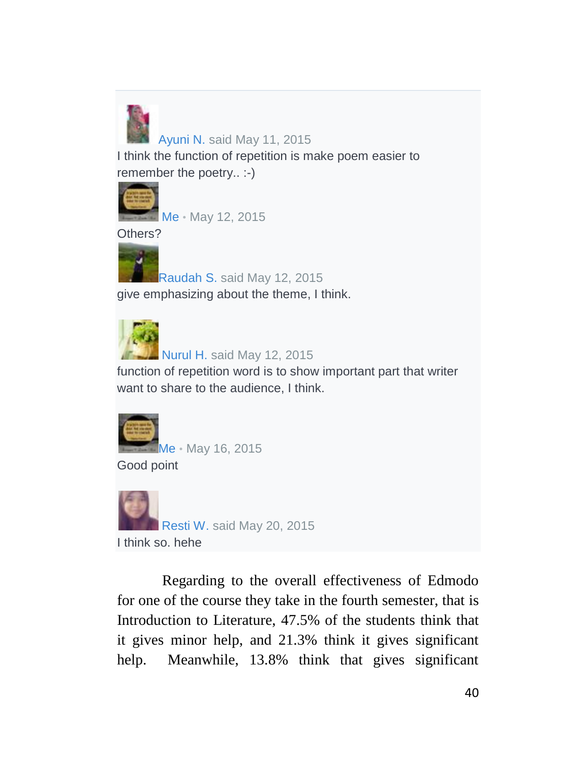

#### [Ayuni N.](https://www.edmodo.com/home#/user?uid=67229777) said May 11, 2015

I think the function of repetition is make poem easier to remember the poetry.. :-)



[Me](https://www.edmodo.com/home#/profile/17817820) • May 12, 2015

Others?



[Raudah S.](https://www.edmodo.com/home#/user?uid=66926547) said May 12, 2015 give emphasizing about the theme, I think.



[Nurul H.](https://www.edmodo.com/home#/user?uid=66934201) said May 12, 2015

function of repetition word is to show important part that writer want to share to the audience, I think.



[Me](https://www.edmodo.com/home#/profile/17817820) • May 16, 2015

Good point



Regarding to the overall effectiveness of Edmodo for one of the course they take in the fourth semester, that is Introduction to Literature, 47.5% of the students think that it gives minor help, and 21.3% think it gives significant help. Meanwhile, 13.8% think that gives significant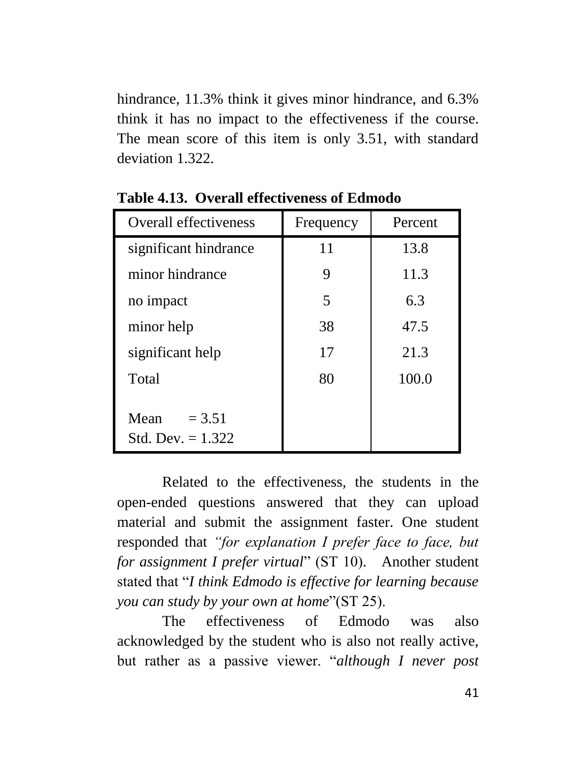hindrance, 11.3% think it gives minor hindrance, and 6.3% think it has no impact to the effectiveness if the course. The mean score of this item is only 3.51, with standard deviation 1.322.

| <b>Overall effectiveness</b>            | Frequency | Percent |
|-----------------------------------------|-----------|---------|
| significant hindrance                   | 11        | 13.8    |
| minor hindrance                         | 9         | 11.3    |
| no impact                               | 5         | 6.3     |
| minor help                              | 38        | 47.5    |
| significant help                        | 17        | 21.3    |
| Total                                   | 80        | 100.0   |
| Mean<br>$= 3.51$<br>Std. Dev. $= 1.322$ |           |         |

**Table 4.13. Overall effectiveness of Edmodo** 

Related to the effectiveness, the students in the open-ended questions answered that they can upload material and submit the assignment faster. One student responded that *"for explanation I prefer face to face, but for assignment I prefer virtual*" (ST 10). Another student stated that "*I think Edmodo is effective for learning because you can study by your own at home*"(ST 25).

The effectiveness of Edmodo was also acknowledged by the student who is also not really active, but rather as a passive viewer. "*although I never post*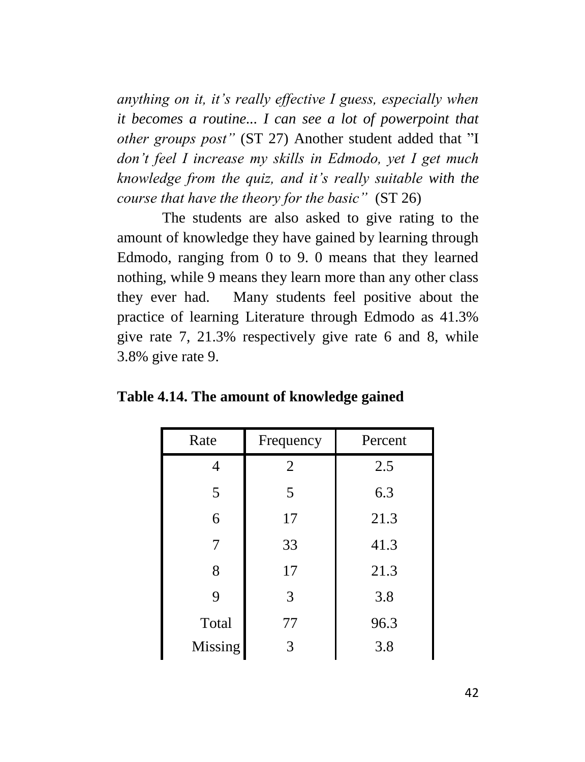*anything on it, it's really effective I guess, especially when it becomes a routine... I can see a lot of powerpoint that other groups post"* (ST 27) Another student added that "I *don't feel I increase my skills in Edmodo, yet I get much knowledge from the quiz, and it's really suitable with the course that have the theory for the basic"* (ST 26)

The students are also asked to give rating to the amount of knowledge they have gained by learning through Edmodo, ranging from 0 to 9. 0 means that they learned nothing, while 9 means they learn more than any other class they ever had. Many students feel positive about the practice of learning Literature through Edmodo as 41.3% give rate 7, 21.3% respectively give rate 6 and 8, while 3.8% give rate 9.

| Rate    | Frequency      | Percent |
|---------|----------------|---------|
| Δ       | $\overline{2}$ | 2.5     |
| 5       | 5              | 6.3     |
| 6       | 17             | 21.3    |
| 7       | 33             | 41.3    |
| 8       | 17             | 21.3    |
| 9       | 3              | 3.8     |
| Total   | 77             | 96.3    |
| Missing |                | 3.8     |

**Table 4.14. The amount of knowledge gained**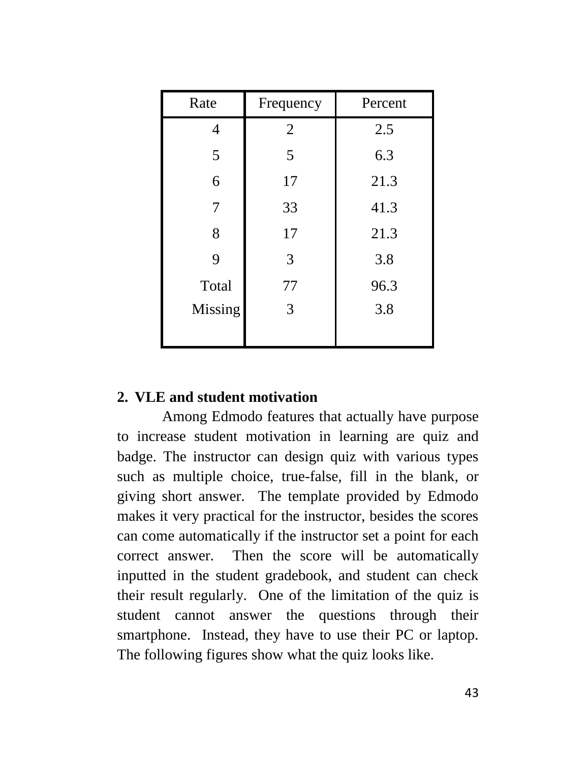| Rate    | Frequency      | Percent |
|---------|----------------|---------|
| 4       | $\overline{2}$ | 2.5     |
| 5       | 5              | 6.3     |
| 6       | 17             | 21.3    |
| 7       | 33             | 41.3    |
| 8       | 17             | 21.3    |
| 9       | 3              | 3.8     |
| Total   | 77             | 96.3    |
| Missing | 3              | 3.8     |
|         |                |         |

#### **2. VLE and student motivation**

Among Edmodo features that actually have purpose to increase student motivation in learning are quiz and badge. The instructor can design quiz with various types such as multiple choice, true-false, fill in the blank, or giving short answer. The template provided by Edmodo makes it very practical for the instructor, besides the scores can come automatically if the instructor set a point for each correct answer. Then the score will be automatically inputted in the student gradebook, and student can check their result regularly. One of the limitation of the quiz is student cannot answer the questions through their smartphone. Instead, they have to use their PC or laptop. The following figures show what the quiz looks like.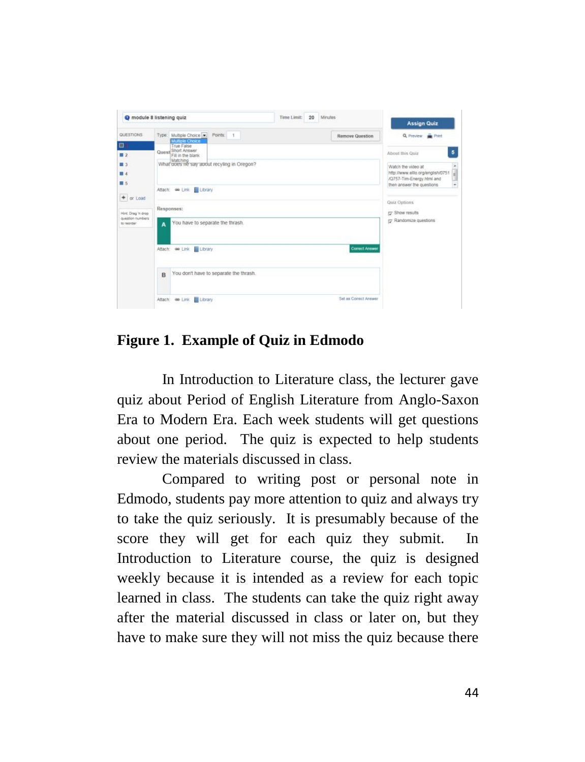|                                                                                                                                             | module 8 listening quiz                                                                                                                                                                                                                                                          | 20<br><b>Minutes</b><br>Time Limit: | <b>Assign Quiz</b>                                                                                                                                                                                                                                                     |
|---------------------------------------------------------------------------------------------------------------------------------------------|----------------------------------------------------------------------------------------------------------------------------------------------------------------------------------------------------------------------------------------------------------------------------------|-------------------------------------|------------------------------------------------------------------------------------------------------------------------------------------------------------------------------------------------------------------------------------------------------------------------|
| <b>QUESTIONS</b><br>日1<br>$\blacksquare$<br>■3<br>图 4<br>買る<br>$\ddot{}$<br>or Load<br>Hirst Drag 'n drop<br>question numbers<br>to reorder | Type: Multiple Choice M Points:<br>$\mathcal{A}$<br><b>Multiple Choice</b><br>True False<br>Quest Short Answer<br>Fill in the blank<br>Matching<br>What opes ne say apout recyling in Oregon?<br>Attach: @ Link   Library<br>Responses:<br>You have to separate the thrash.<br>A | <b>Remove Question</b>              | Q Preview <b>B</b> Print<br>5<br>About this Quiz<br>٠<br>Watch the video at<br>Ĥ<br>http://www.ello.org/english/D751<br>/Q757-Tim-Energy html and<br>œ<br>then answer the questions<br>$\overline{\phantom{a}}$<br>Quiz Outions<br>Show results<br>Randomize questions |
|                                                                                                                                             | Library<br>Attach: @ Link<br>You don't have to separate the thrash.<br>B                                                                                                                                                                                                         | <b>Correct Answer</b>               |                                                                                                                                                                                                                                                                        |
|                                                                                                                                             | Library<br>Attach: @ Link                                                                                                                                                                                                                                                        | Set as Correct Answer               |                                                                                                                                                                                                                                                                        |

# **Figure 1. Example of Quiz in Edmodo**

In Introduction to Literature class, the lecturer gave quiz about Period of English Literature from Anglo-Saxon Era to Modern Era. Each week students will get questions about one period. The quiz is expected to help students review the materials discussed in class.

Compared to writing post or personal note in Edmodo, students pay more attention to quiz and always try to take the quiz seriously. It is presumably because of the score they will get for each quiz they submit. In Introduction to Literature course, the quiz is designed weekly because it is intended as a review for each topic learned in class. The students can take the quiz right away after the material discussed in class or later on, but they have to make sure they will not miss the quiz because there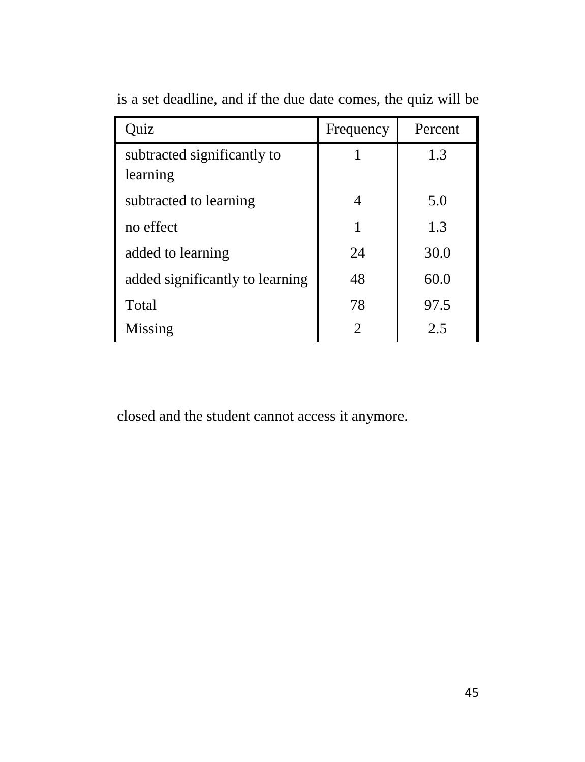| Quiz                            | Frequency | Percent |
|---------------------------------|-----------|---------|
| subtracted significantly to     |           | 1.3     |
| learning                        |           |         |
| subtracted to learning          | 4         | 5.0     |
| no effect                       | 1         | 1.3     |
| added to learning               | 24        | 30.0    |
| added significantly to learning | 48        | 60.0    |
| Total                           | 78        | 97.5    |
| Missing                         |           | 2.5     |

is a set deadline, and if the due date comes, the quiz will be

closed and the student cannot access it anymore.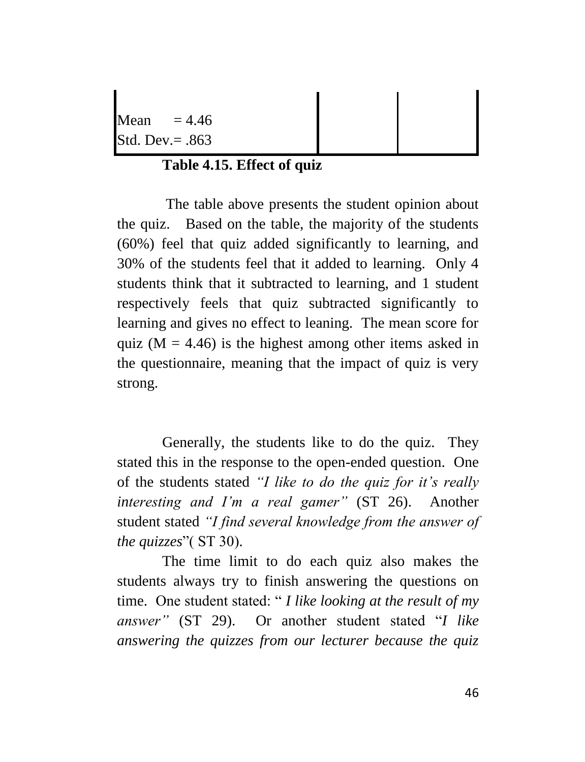Mean  $= 4.46$ Std. Dev.= .863

# **Table 4.15. Effect of quiz**

The table above presents the student opinion about the quiz. Based on the table, the majority of the students (60%) feel that quiz added significantly to learning, and 30% of the students feel that it added to learning. Only 4 students think that it subtracted to learning, and 1 student respectively feels that quiz subtracted significantly to learning and gives no effect to leaning. The mean score for quiz ( $M = 4.46$ ) is the highest among other items asked in the questionnaire, meaning that the impact of quiz is very strong.

Generally, the students like to do the quiz. They stated this in the response to the open-ended question. One of the students stated *"I like to do the quiz for it's really interesting and I'm a real gamer"* (ST 26). Another student stated *"I find several knowledge from the answer of the quizzes*"( ST 30).

The time limit to do each quiz also makes the students always try to finish answering the questions on time. One student stated: " *I like looking at the result of my answer"* (ST 29). Or another student stated "*I like answering the quizzes from our lecturer because the quiz*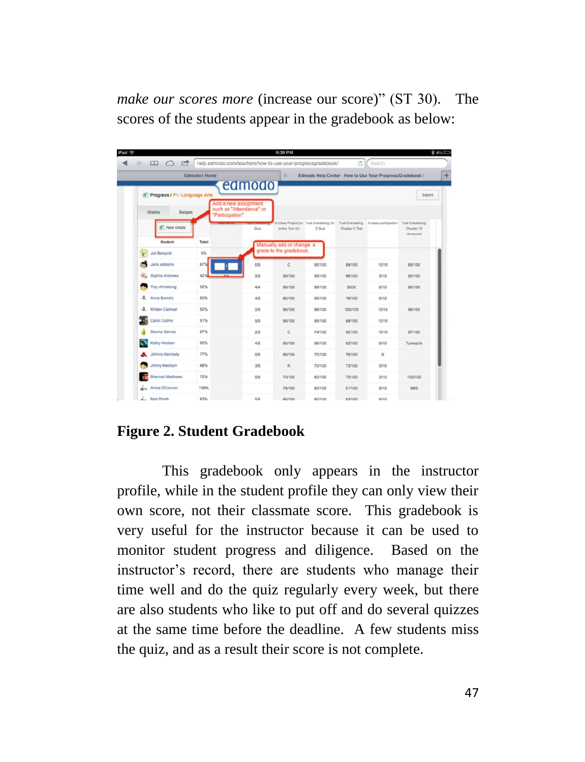*make our scores more* (increase our score)" (ST 30). The scores of the students appear in the gradebook as below:

| Edmodo   Home<br>$\times$<br>Edmodo Help Center - How to Use Your Progress/Gradebook I<br>edmodo<br>K Progress / P1- Language Arts<br>Add a new assignment<br>such as "Attendance" or<br>Badges<br>Grades<br>"Participation"<br>In Class Project (no Tuck Everlasting Ch.<br>Tuck Everleeting:<br>In-class participation<br>A New Grade<br>$2$ Quiz<br>Chapter 6 Test<br>Quiz<br>smine Tum-in)<br>Chapter 10<br><b>Homework</b><br>Student<br>Total<br>Manually add or change a<br>grade to the gradebook.<br>$0\%$<br><b>Juli Barquist</b><br>Y<br>Jane Addams<br>87%<br>0/5<br>c<br>90/100<br>89/100<br>10/10<br>85/100<br>921<br>Sophia Andrews<br>55<br>$\omega$<br>90/100<br>95/100<br>96/100<br>5/10<br>92/100<br><b>Trey Armstrong</b><br>92%<br>4/4<br>90/100<br><b>SICK</b><br>98/100<br>6/10<br>90/100<br>J. Anne Brandis<br>83%<br>4/5<br><b>78/100</b><br>80/100<br>95/100<br>6/10<br>工<br>Kristen Carneal<br>92%<br>25 <sub>5</sub><br>10/10<br>95/100<br>90/100<br>86/100<br>100/100<br>Cairo Cozmo<br>91%<br>5/5<br>10/10<br>90/100<br>95/100<br>88/100<br>Sienna Gomez<br>87%<br>2/5<br>c<br>74/100<br>97/100<br>92/100<br>10/10<br>Kathy Hooban<br>92%<br>4/5<br>90/100<br>96/100<br>92/100<br>9/10<br>Turned In<br>Johnny Kennedy<br>77%<br>$_{N}$<br>0/5<br>90/100<br>70/100<br>76/100<br>Jimmy Madison<br>68%<br>3/5<br>$_{\rm N}$<br>70/100<br>73/100<br>0/10<br>Brennan Matthews<br>75%<br>5/5<br>70/100<br>60/100<br>75/100<br>3/10<br>100/100 |  |  |  |                   |
|-----------------------------------------------------------------------------------------------------------------------------------------------------------------------------------------------------------------------------------------------------------------------------------------------------------------------------------------------------------------------------------------------------------------------------------------------------------------------------------------------------------------------------------------------------------------------------------------------------------------------------------------------------------------------------------------------------------------------------------------------------------------------------------------------------------------------------------------------------------------------------------------------------------------------------------------------------------------------------------------------------------------------------------------------------------------------------------------------------------------------------------------------------------------------------------------------------------------------------------------------------------------------------------------------------------------------------------------------------------------------------------------------------------------------------------------------------------------------|--|--|--|-------------------|
|                                                                                                                                                                                                                                                                                                                                                                                                                                                                                                                                                                                                                                                                                                                                                                                                                                                                                                                                                                                                                                                                                                                                                                                                                                                                                                                                                                                                                                                                       |  |  |  |                   |
|                                                                                                                                                                                                                                                                                                                                                                                                                                                                                                                                                                                                                                                                                                                                                                                                                                                                                                                                                                                                                                                                                                                                                                                                                                                                                                                                                                                                                                                                       |  |  |  | Export            |
|                                                                                                                                                                                                                                                                                                                                                                                                                                                                                                                                                                                                                                                                                                                                                                                                                                                                                                                                                                                                                                                                                                                                                                                                                                                                                                                                                                                                                                                                       |  |  |  | Tuck Everlesting: |
|                                                                                                                                                                                                                                                                                                                                                                                                                                                                                                                                                                                                                                                                                                                                                                                                                                                                                                                                                                                                                                                                                                                                                                                                                                                                                                                                                                                                                                                                       |  |  |  |                   |
|                                                                                                                                                                                                                                                                                                                                                                                                                                                                                                                                                                                                                                                                                                                                                                                                                                                                                                                                                                                                                                                                                                                                                                                                                                                                                                                                                                                                                                                                       |  |  |  |                   |
|                                                                                                                                                                                                                                                                                                                                                                                                                                                                                                                                                                                                                                                                                                                                                                                                                                                                                                                                                                                                                                                                                                                                                                                                                                                                                                                                                                                                                                                                       |  |  |  |                   |
|                                                                                                                                                                                                                                                                                                                                                                                                                                                                                                                                                                                                                                                                                                                                                                                                                                                                                                                                                                                                                                                                                                                                                                                                                                                                                                                                                                                                                                                                       |  |  |  |                   |
|                                                                                                                                                                                                                                                                                                                                                                                                                                                                                                                                                                                                                                                                                                                                                                                                                                                                                                                                                                                                                                                                                                                                                                                                                                                                                                                                                                                                                                                                       |  |  |  |                   |
|                                                                                                                                                                                                                                                                                                                                                                                                                                                                                                                                                                                                                                                                                                                                                                                                                                                                                                                                                                                                                                                                                                                                                                                                                                                                                                                                                                                                                                                                       |  |  |  |                   |
|                                                                                                                                                                                                                                                                                                                                                                                                                                                                                                                                                                                                                                                                                                                                                                                                                                                                                                                                                                                                                                                                                                                                                                                                                                                                                                                                                                                                                                                                       |  |  |  |                   |
|                                                                                                                                                                                                                                                                                                                                                                                                                                                                                                                                                                                                                                                                                                                                                                                                                                                                                                                                                                                                                                                                                                                                                                                                                                                                                                                                                                                                                                                                       |  |  |  |                   |
|                                                                                                                                                                                                                                                                                                                                                                                                                                                                                                                                                                                                                                                                                                                                                                                                                                                                                                                                                                                                                                                                                                                                                                                                                                                                                                                                                                                                                                                                       |  |  |  |                   |
|                                                                                                                                                                                                                                                                                                                                                                                                                                                                                                                                                                                                                                                                                                                                                                                                                                                                                                                                                                                                                                                                                                                                                                                                                                                                                                                                                                                                                                                                       |  |  |  |                   |
|                                                                                                                                                                                                                                                                                                                                                                                                                                                                                                                                                                                                                                                                                                                                                                                                                                                                                                                                                                                                                                                                                                                                                                                                                                                                                                                                                                                                                                                                       |  |  |  |                   |
|                                                                                                                                                                                                                                                                                                                                                                                                                                                                                                                                                                                                                                                                                                                                                                                                                                                                                                                                                                                                                                                                                                                                                                                                                                                                                                                                                                                                                                                                       |  |  |  |                   |
|                                                                                                                                                                                                                                                                                                                                                                                                                                                                                                                                                                                                                                                                                                                                                                                                                                                                                                                                                                                                                                                                                                                                                                                                                                                                                                                                                                                                                                                                       |  |  |  |                   |

# **Figure 2. Student Gradebook**

This gradebook only appears in the instructor profile, while in the student profile they can only view their own score, not their classmate score. This gradebook is very useful for the instructor because it can be used to monitor student progress and diligence. Based on the instructor's record, there are students who manage their time well and do the quiz regularly every week, but there are also students who like to put off and do several quizzes at the same time before the deadline. A few students miss the quiz, and as a result their score is not complete.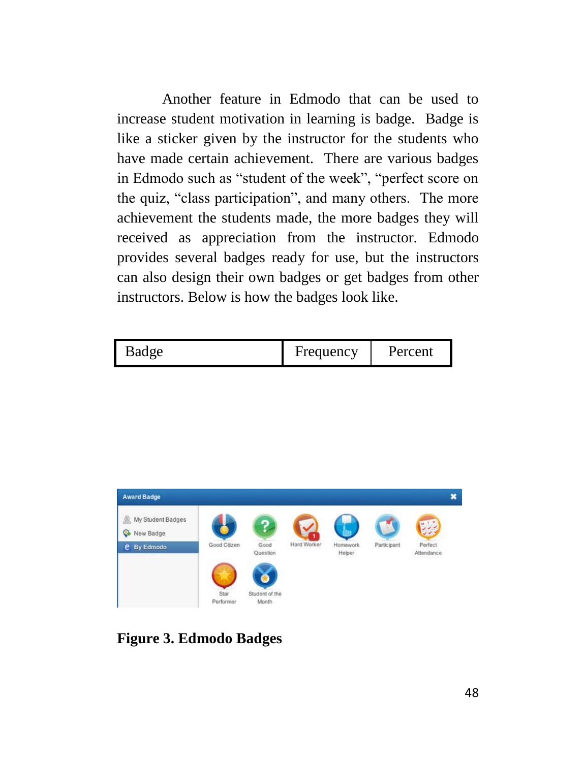Another feature in Edmodo that can be used to increase student motivation in learning is badge. Badge is like a sticker given by the instructor for the students who have made certain achievement. There are various badges in Edmodo such as "student of the week", "perfect score on the quiz, "class participation", and many others. The more achievement the students made, the more badges they will received as appreciation from the instructor. Edmodo provides several badges ready for use, but the instructors can also design their own badges or get badges from other instructors. Below is how the badges look like.





**Figure 3. Edmodo Badges**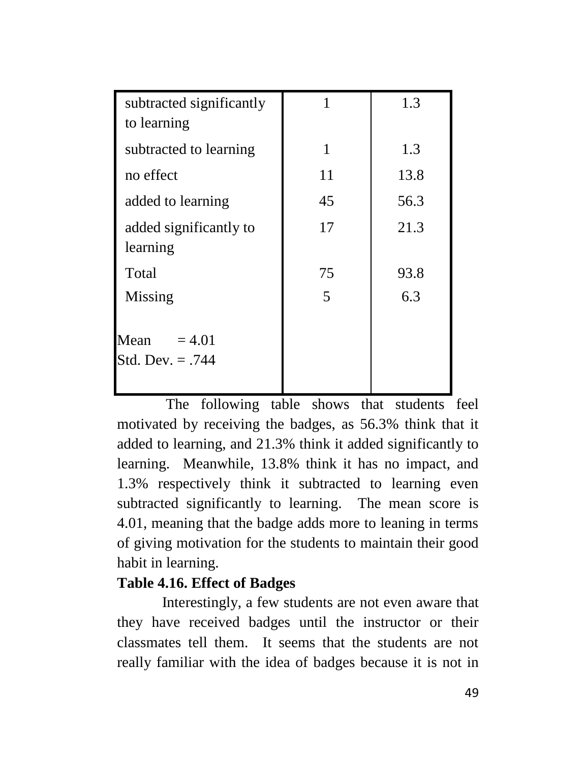| subtracted significantly<br>to learning | 1  | 1.3  |
|-----------------------------------------|----|------|
| subtracted to learning                  | 1  | 1.3  |
| no effect                               | 11 | 13.8 |
| added to learning                       | 45 | 56.3 |
| added significantly to<br>learning      | 17 | 21.3 |
| Total                                   | 75 | 93.8 |
| Missing                                 | 5  | 6.3  |
| Mean<br>$= 4.01$<br>Std. Dev. = .744    |    |      |

The following table shows that students feel motivated by receiving the badges, as 56.3% think that it added to learning, and 21.3% think it added significantly to learning. Meanwhile, 13.8% think it has no impact, and 1.3% respectively think it subtracted to learning even subtracted significantly to learning. The mean score is 4.01, meaning that the badge adds more to leaning in terms of giving motivation for the students to maintain their good habit in learning.

# **Table 4.16. Effect of Badges**

Interestingly, a few students are not even aware that they have received badges until the instructor or their classmates tell them. It seems that the students are not really familiar with the idea of badges because it is not in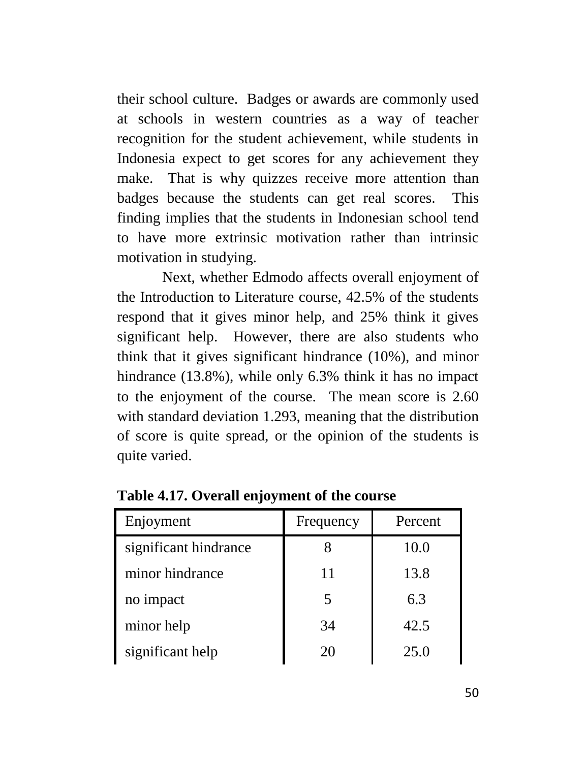their school culture. Badges or awards are commonly used at schools in western countries as a way of teacher recognition for the student achievement, while students in Indonesia expect to get scores for any achievement they make. That is why quizzes receive more attention than badges because the students can get real scores. This finding implies that the students in Indonesian school tend to have more extrinsic motivation rather than intrinsic motivation in studying.

Next, whether Edmodo affects overall enjoyment of the Introduction to Literature course, 42.5% of the students respond that it gives minor help, and 25% think it gives significant help. However, there are also students who think that it gives significant hindrance (10%), and minor hindrance (13.8%), while only 6.3% think it has no impact to the enjoyment of the course. The mean score is 2.60 with standard deviation 1.293, meaning that the distribution of score is quite spread, or the opinion of the students is quite varied.

| Enjoyment             | Frequency | Percent |
|-----------------------|-----------|---------|
| significant hindrance |           | 10.0    |
| minor hindrance       | 11        | 13.8    |
| no impact             | 5         | 6.3     |
| minor help            | 34        | 42.5    |
| significant help      | 20        | 25.0    |

**Table 4.17. Overall enjoyment of the course**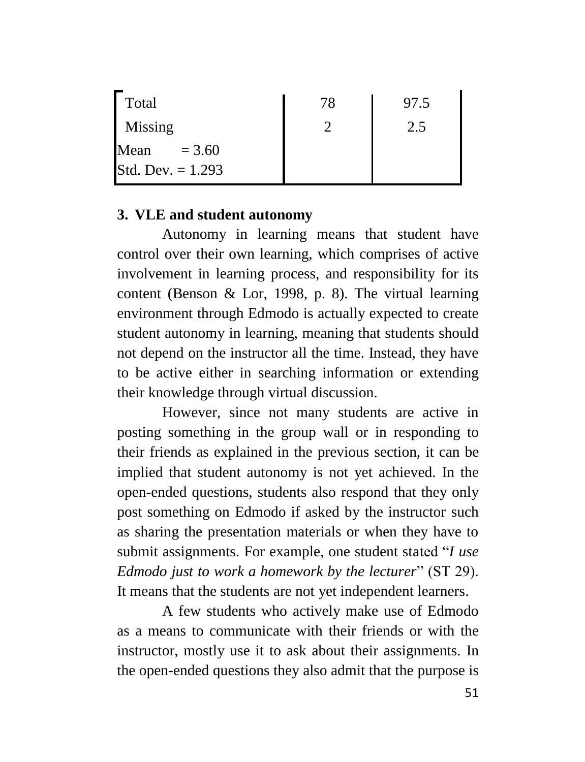| Total               | 78 | 97.5 |
|---------------------|----|------|
| Missing             |    | 2.5  |
| Mean<br>$= 3.60$    |    |      |
| Std. Dev. $= 1.293$ |    |      |

#### **3. VLE and student autonomy**

Autonomy in learning means that student have control over their own learning, which comprises of active involvement in learning process, and responsibility for its content (Benson & Lor, 1998, p. 8). The virtual learning environment through Edmodo is actually expected to create student autonomy in learning, meaning that students should not depend on the instructor all the time. Instead, they have to be active either in searching information or extending their knowledge through virtual discussion.

However, since not many students are active in posting something in the group wall or in responding to their friends as explained in the previous section, it can be implied that student autonomy is not yet achieved. In the open-ended questions, students also respond that they only post something on Edmodo if asked by the instructor such as sharing the presentation materials or when they have to submit assignments. For example, one student stated "*I use Edmodo just to work a homework by the lecturer*" (ST 29). It means that the students are not yet independent learners.

A few students who actively make use of Edmodo as a means to communicate with their friends or with the instructor, mostly use it to ask about their assignments. In the open-ended questions they also admit that the purpose is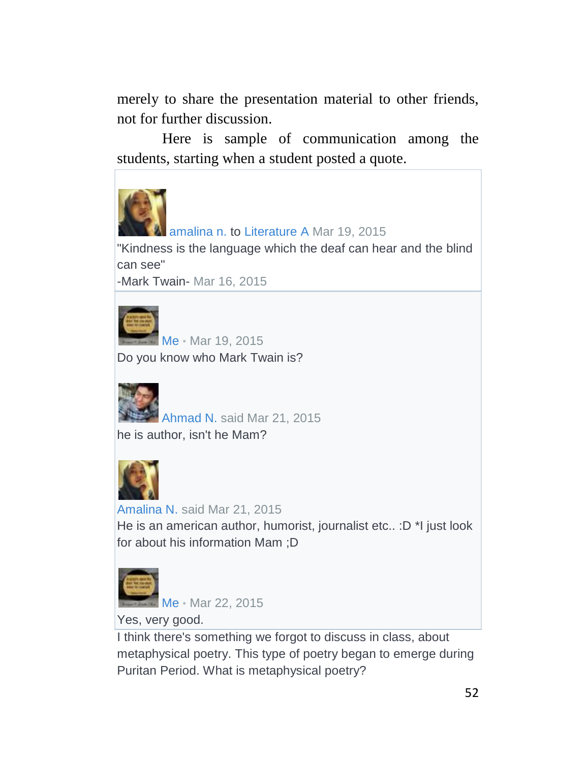merely to share the presentation material to other friends, not for further discussion.

Here is sample of communication among the students, starting when a student posted a quote.



[amalina n.](https://www.edmodo.com/home#/user?uid=66863335) to [Literature A](https://www.edmodo.com/home#/group?id=12647267) Mar 19, 2015

"Kindness is the language which the deaf can hear and the blind can see"

-Mark Twain- Mar 16, 2015



[Me](https://www.edmodo.com/home#/profile/17817820) • Mar 19, 2015

Do you know who Mark Twain is?



[Ahmad N.](https://www.edmodo.com/home#/user?uid=66936437) said Mar 21, 2015 he is author, isn't he Mam?



[Amalina N.](https://www.edmodo.com/home#/user?uid=66863335) said Mar 21, 2015 He is an american author, humorist, journalist etc.. : D \*I just look for about his information Mam ;D



[Me](https://www.edmodo.com/home#/profile/17817820) • Mar 22, 2015

Yes, very good.

I think there's something we forgot to discuss in class, about metaphysical poetry. This type of poetry began to emerge during Puritan Period. What is metaphysical poetry?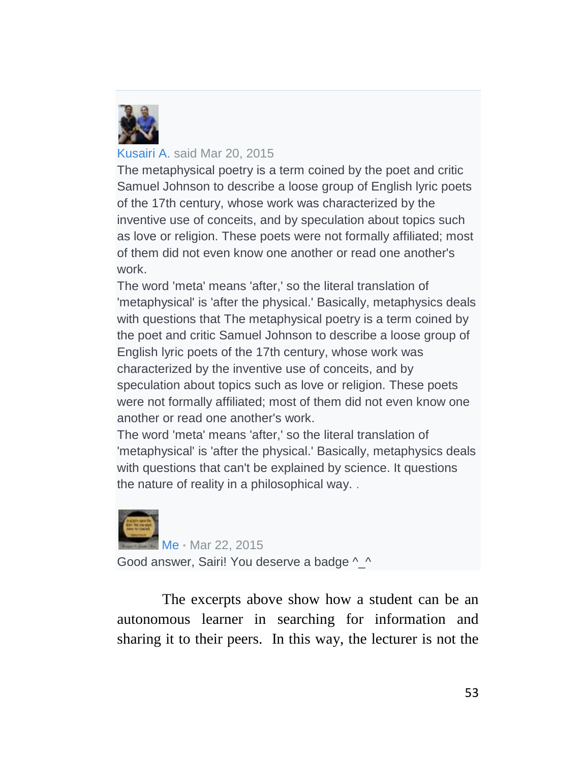

#### [Kusairi A.](https://www.edmodo.com/home#/user?uid=67067627) said Mar 20, 2015

The metaphysical poetry is a term coined by the poet and critic Samuel Johnson to describe a loose group of English lyric poets of the 17th century, whose work was characterized by the inventive use of conceits, and by speculation about topics such as love or religion. These poets were not formally affiliated; most of them did not even know one another or read one another's work.

The word 'meta' means 'after,' so the literal translation of 'metaphysical' is 'after the physical.' Basically, metaphysics deals with questions that The metaphysical poetry is a term coined by the poet and critic Samuel Johnson to describe a loose group of English lyric poets of the 17th century, whose work was characterized by the inventive use of conceits, and by speculation about topics such as love or religion. These poets were not formally affiliated; most of them did not even know one another or read one another's work.

The word 'meta' means 'after,' so the literal translation of 'metaphysical' is 'after the physical.' Basically, metaphysics deals with questions that can't be explained by science. It questions the nature of reality in a philosophical way. [.](javascript:;)



[Me](https://www.edmodo.com/home#/profile/17817820) • Mar 22, 2015 Good answer, Sairi! You deserve a badge ^ ^

The excerpts above show how a student can be an autonomous learner in searching for information and sharing it to their peers. In this way, the lecturer is not the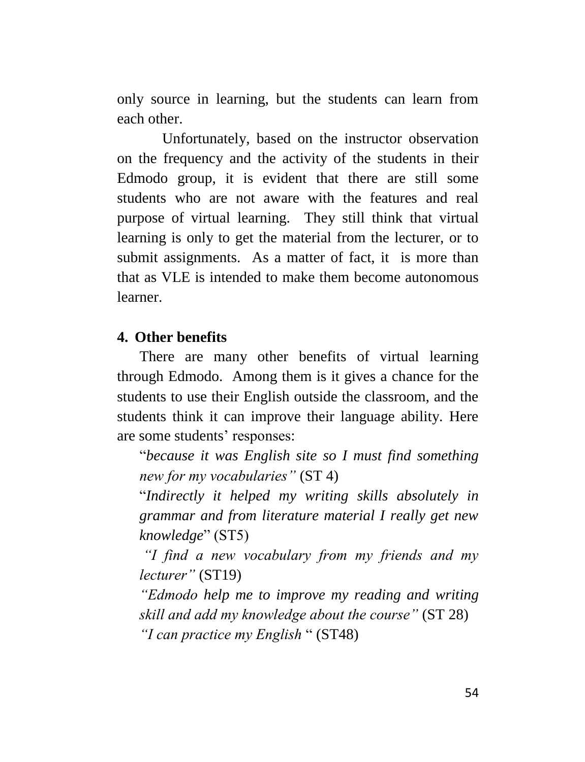only source in learning, but the students can learn from each other.

Unfortunately, based on the instructor observation on the frequency and the activity of the students in their Edmodo group, it is evident that there are still some students who are not aware with the features and real purpose of virtual learning. They still think that virtual learning is only to get the material from the lecturer, or to submit assignments. As a matter of fact, it is more than that as VLE is intended to make them become autonomous learner.

#### **4. Other benefits**

There are many other benefits of virtual learning through Edmodo. Among them is it gives a chance for the students to use their English outside the classroom, and the students think it can improve their language ability. Here are some students' responses:

"*because it was English site so I must find something new for my vocabularies"* (ST 4)

"*Indirectly it helped my writing skills absolutely in grammar and from literature material I really get new knowledge*" (ST5)

*"I find a new vocabulary from my friends and my lecturer"* (ST19)

*"Edmodo help me to improve my reading and writing skill and add my knowledge about the course"* (ST 28) *"I can practice my English* " (ST48)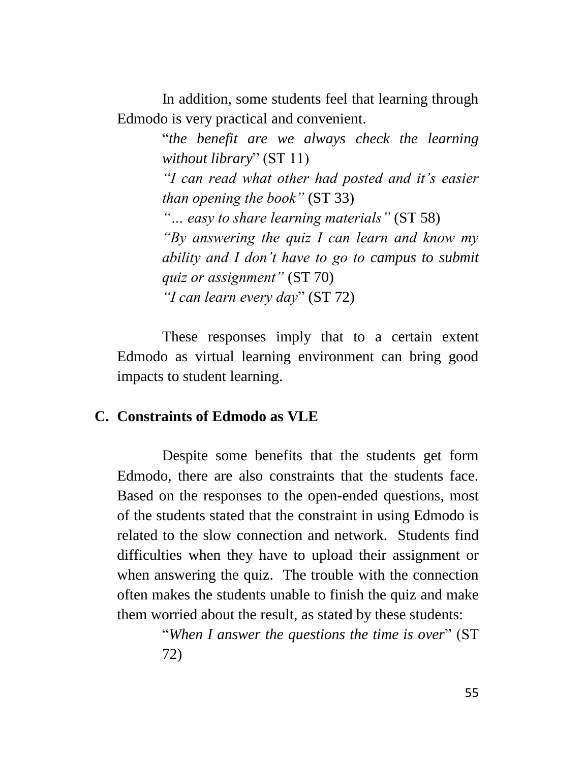In addition, some students feel that learning through Edmodo is very practical and convenient.

> "*the benefit are we always check the learning without library*" (ST 11) *"I can read what other had posted and it's easier than opening the book"* (ST 33) *"… easy to share learning materials"* (ST 58) *"By answering the quiz I can learn and know my ability and I don't have to go to campus to submit quiz or assignment"* (ST 70) *"I can learn every day*" (ST 72)

These responses imply that to a certain extent Edmodo as virtual learning environment can bring good impacts to student learning.

#### **C. Constraints of Edmodo as VLE**

Despite some benefits that the students get form Edmodo, there are also constraints that the students face. Based on the responses to the open-ended questions, most of the students stated that the constraint in using Edmodo is related to the slow connection and network. Students find difficulties when they have to upload their assignment or when answering the quiz. The trouble with the connection often makes the students unable to finish the quiz and make them worried about the result, as stated by these students:

> "*When I answer the questions the time is over*" (ST 72)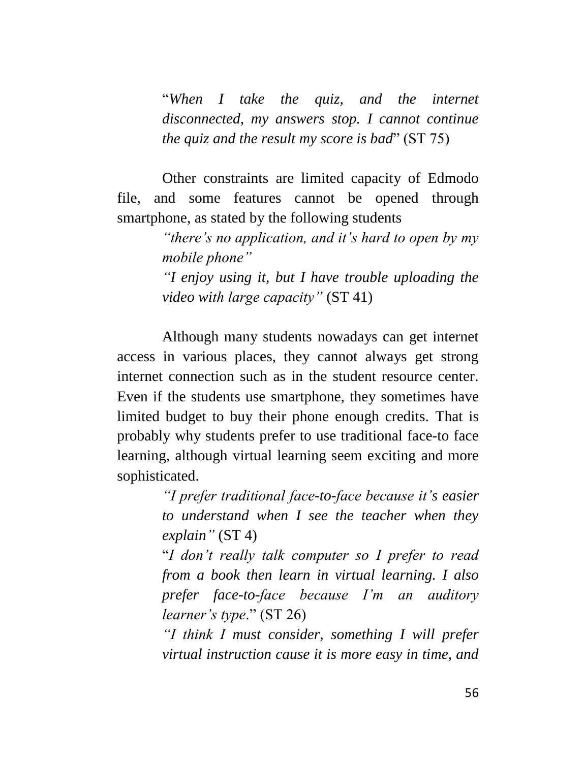"*When I take the quiz, and the internet disconnected, my answers stop. I cannot continue the quiz and the result my score is bad*" (ST 75)

Other constraints are limited capacity of Edmodo file, and some features cannot be opened through smartphone, as stated by the following students

> *"there's no application, and it's hard to open by my mobile phone"*

> *"I enjoy using it, but I have trouble uploading the video with large capacity"* (ST 41)

Although many students nowadays can get internet access in various places, they cannot always get strong internet connection such as in the student resource center. Even if the students use smartphone, they sometimes have limited budget to buy their phone enough credits. That is probably why students prefer to use traditional face-to face learning, although virtual learning seem exciting and more sophisticated.

> *"I prefer traditional face-to-face because it's easier to understand when I see the teacher when they explain"* (ST 4)

> "*I don't really talk computer so I prefer to read from a book then learn in virtual learning. I also prefer face-to-face because I'm an auditory learner's type*." (ST 26)

> *"I think I must consider, something I will prefer virtual instruction cause it is more easy in time, and*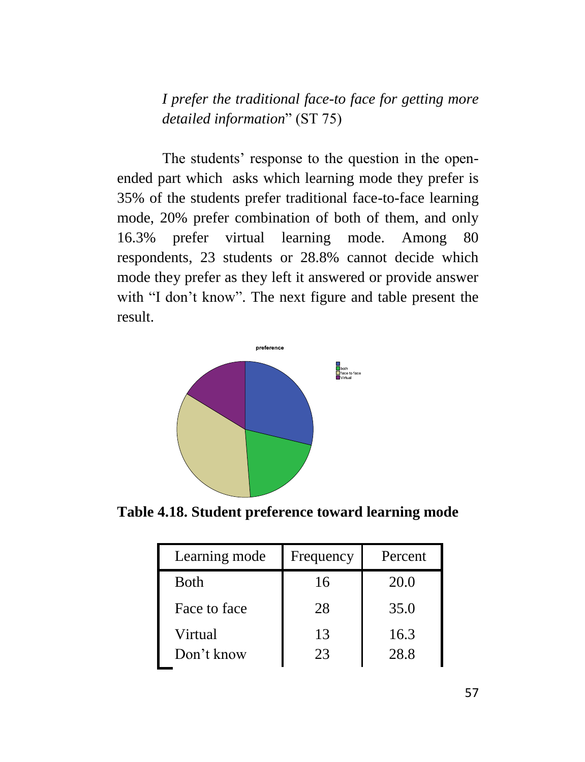*I prefer the traditional face-to face for getting more detailed information*" (ST 75)

The students' response to the question in the openended part which asks which learning mode they prefer is 35% of the students prefer traditional face-to-face learning mode, 20% prefer combination of both of them, and only 16.3% prefer virtual learning mode. Among 80 respondents, 23 students or 28.8% cannot decide which mode they prefer as they left it answered or provide answer with "I don't know". The next figure and table present the result.



**Table 4.18. Student preference toward learning mode**

| Learning mode         | Frequency | Percent      |
|-----------------------|-----------|--------------|
| <b>Both</b>           | 16        | 20.0         |
| Face to face          | 28        | 35.0         |
| Virtual<br>Don't know | 13<br>23  | 16.3<br>28.8 |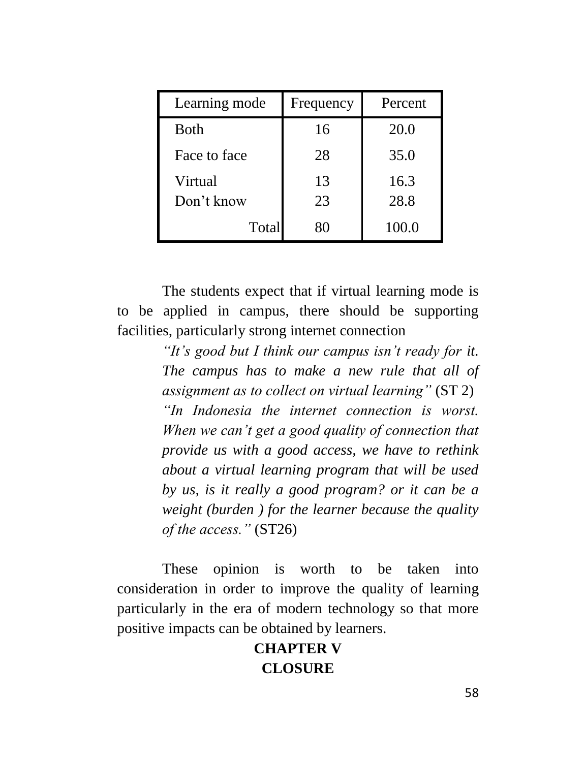| Learning mode | Frequency | Percent |
|---------------|-----------|---------|
| Both          | 16        | 20.0    |
| Face to face  | 28        | 35.0    |
| Virtual       | 13        | 16.3    |
| Don't know    | 23        | 28.8    |
| Total         | 80        | 100.0   |

The students expect that if virtual learning mode is to be applied in campus, there should be supporting facilities, particularly strong internet connection

> *"It's good but I think our campus isn't ready for it. The campus has to make a new rule that all of assignment as to collect on virtual learning"* (ST 2) *"In Indonesia the internet connection is worst. When we can't get a good quality of connection that provide us with a good access, we have to rethink about a virtual learning program that will be used by us, is it really a good program? or it can be a weight (burden ) for the learner because the quality of the access."* (ST26)

These opinion is worth to be taken into consideration in order to improve the quality of learning particularly in the era of modern technology so that more positive impacts can be obtained by learners.

# **CHAPTER V CLOSURE**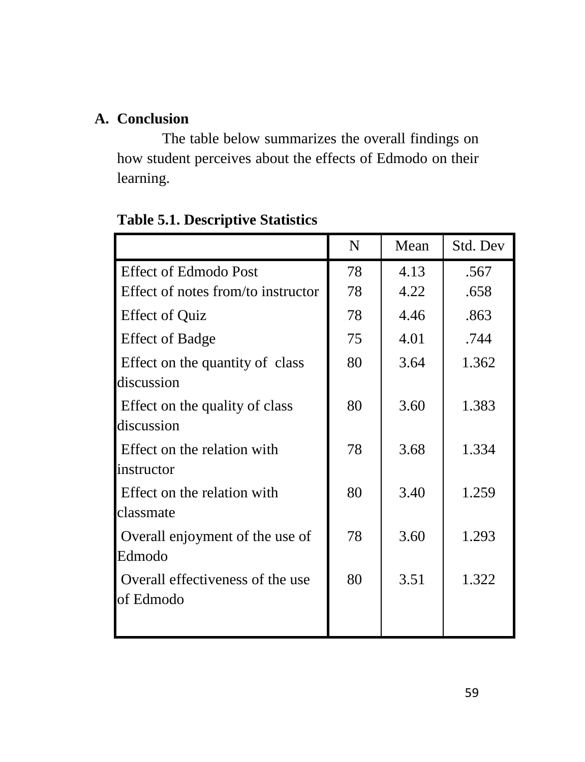# **A. Conclusion**

The table below summarizes the overall findings on how student perceives about the effects of Edmodo on their learning.

|                                               | $\mathbf N$ | Mean | Std. Dev |
|-----------------------------------------------|-------------|------|----------|
| <b>Effect of Edmodo Post</b>                  | 78          | 4.13 | .567     |
| Effect of notes from/to instructor            | 78          | 4.22 | .658     |
| <b>Effect of Quiz</b>                         | 78          | 4.46 | .863     |
| <b>Effect of Badge</b>                        | 75          | 4.01 | .744     |
| Effect on the quantity of class<br>discussion | 80          | 3.64 | 1.362    |
| Effect on the quality of class<br>discussion  | 80          | 3.60 | 1.383    |
| Effect on the relation with<br>instructor     | 78          | 3.68 | 1.334    |
| Effect on the relation with<br>classmate      | 80          | 3.40 | 1.259    |
| Overall enjoyment of the use of<br>Edmodo     | 78          | 3.60 | 1.293    |
| Overall effectiveness of the use<br>of Edmodo | 80          | 3.51 | 1.322    |

**Table 5.1. Descriptive Statistics**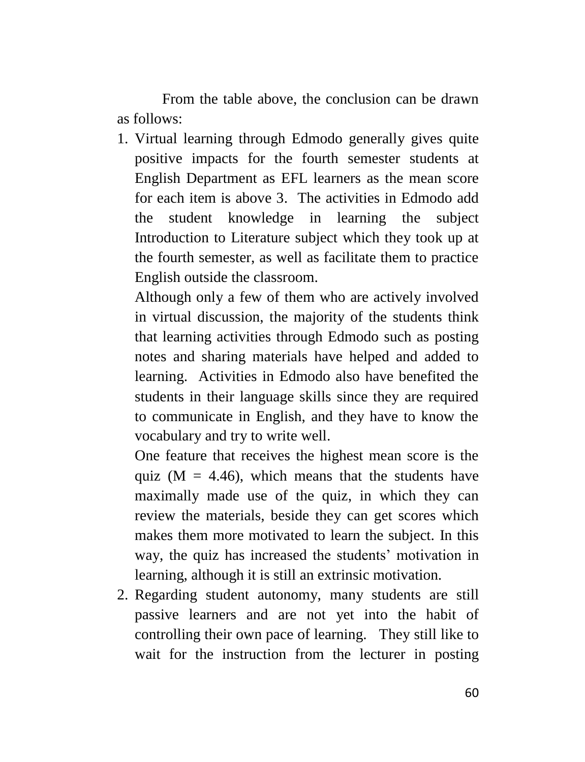From the table above, the conclusion can be drawn as follows:

1. Virtual learning through Edmodo generally gives quite positive impacts for the fourth semester students at English Department as EFL learners as the mean score for each item is above 3. The activities in Edmodo add the student knowledge in learning the subject Introduction to Literature subject which they took up at the fourth semester, as well as facilitate them to practice English outside the classroom.

Although only a few of them who are actively involved in virtual discussion, the majority of the students think that learning activities through Edmodo such as posting notes and sharing materials have helped and added to learning. Activities in Edmodo also have benefited the students in their language skills since they are required to communicate in English, and they have to know the vocabulary and try to write well.

One feature that receives the highest mean score is the quiz ( $M = 4.46$ ), which means that the students have maximally made use of the quiz, in which they can review the materials, beside they can get scores which makes them more motivated to learn the subject. In this way, the quiz has increased the students' motivation in learning, although it is still an extrinsic motivation.

2. Regarding student autonomy, many students are still passive learners and are not yet into the habit of controlling their own pace of learning. They still like to wait for the instruction from the lecturer in posting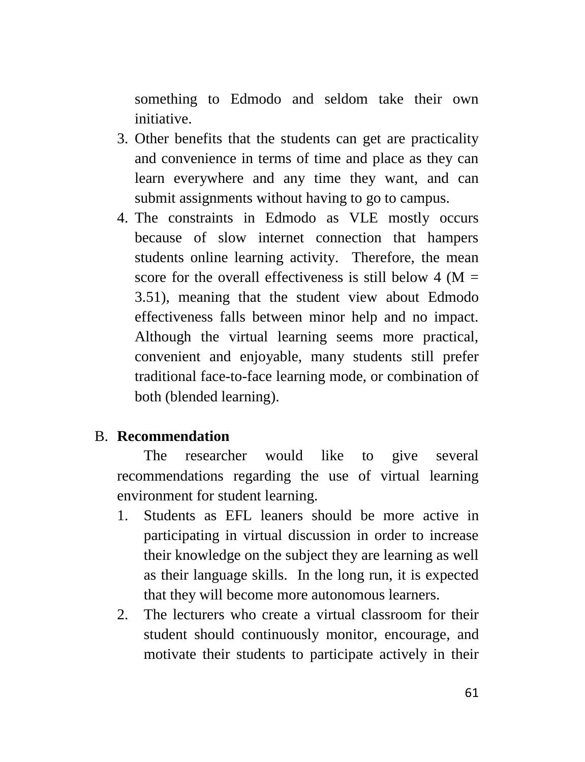something to Edmodo and seldom take their own initiative.

- 3. Other benefits that the students can get are practicality and convenience in terms of time and place as they can learn everywhere and any time they want, and can submit assignments without having to go to campus.
- 4. The constraints in Edmodo as VLE mostly occurs because of slow internet connection that hampers students online learning activity. Therefore, the mean score for the overall effectiveness is still below  $4 \, \text{(M)} =$ 3.51), meaning that the student view about Edmodo effectiveness falls between minor help and no impact. Although the virtual learning seems more practical, convenient and enjoyable, many students still prefer traditional face-to-face learning mode, or combination of both (blended learning).

#### B. **Recommendation**

The researcher would like to give several recommendations regarding the use of virtual learning environment for student learning.

- 1. Students as EFL leaners should be more active in participating in virtual discussion in order to increase their knowledge on the subject they are learning as well as their language skills. In the long run, it is expected that they will become more autonomous learners.
- 2. The lecturers who create a virtual classroom for their student should continuously monitor, encourage, and motivate their students to participate actively in their